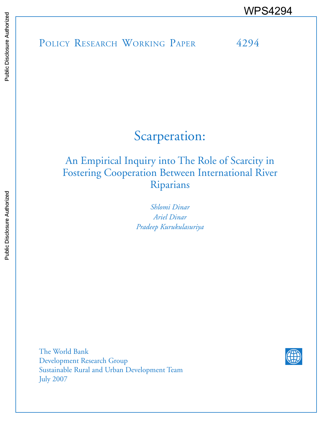POLICY RESEARCH WORKING PAPER 4294

# Scarperation:

# An Empirical Inquiry into The Role of Scarcity in Fostering Cooperation Between International River Riparians

*Shlomi Dinar Ariel Dinar Pradeep Kurukulasuriya*

The World Bank Development Research Group Sustainable Rural and Urban Development Team July 2007

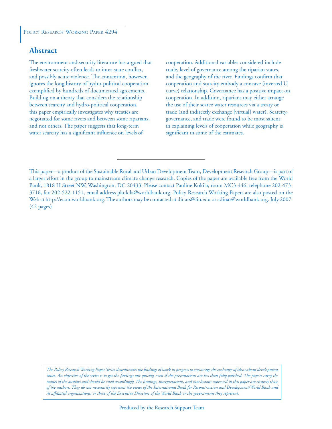## **Abstract**

The environment and security literature has argued that freshwater scarcity often leads to inter-state conflict, and possibly acute violence. The contention, however, ignores the long history of hydro-political cooperation exemplified by hundreds of documented agreements. Building on a theory that considers the relationship between scarcity and hydro-political cooperation, this paper empirically investigates why treaties are negotiated for some rivers and between some riparians, and not others. The paper suggests that long-term water scarcity has a significant influence on levels of

cooperation. Additional variables considered include trade, level of governance among the riparian states, and the geography of the river. Findings confirm that cooperation and scarcity embody a concave (inverted U curve) relationship. Governance has a positive impact on cooperation. In addition, riparians may either arrange the use of their scarce water resources via a treaty or trade (and indirectly exchange [virtual] water). Scarcity, governance, and trade were found to be most salient in explaining levels of cooperation while geography is significant in some of the estimates.

*The Policy Research Working Paper Series disseminates the findings of work in progress to encourage the exchange of ideas about development*  issues. An objective of the series is to get the findings out quickly, even if the presentations are less than fully polished. The papers carry the *names of the authors and should be cited accordingly. The findings, interpretations, and conclusions expressed in this paper are entirely those of the authors. They do not necessarily represent the views of the International Bank for Reconstruction and Development/World Bank and its affiliated organizations, or those of the Executive Directors of the World Bank or the governments they represent.*

This paper—a product of the Sustainable Rural and Urban Development Team, Development Research Group—is part of a larger effort in the group to mainstream climate change research. Copies of the paper are available free from the World Bank, 1818 H Street NW, Washington, DC 20433. Please contact Pauline Kokila, room MC3-446, telephone 202-473- 3716, fax 202-522-1151, email address pkokila@worldbank.org. Policy Research Working Papers are also posted on the Web at http://econ.worldbank.org. The authors may be contacted at dinars@fiu.edu or adinar@worldbank.org. July 2007. (42 pages)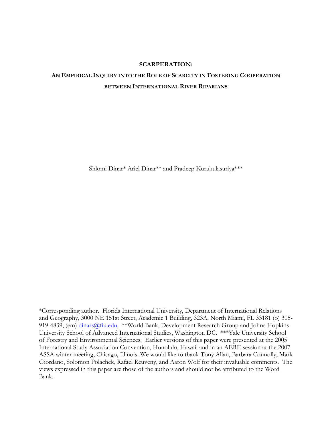## **SCARPERATION:**

## **AN EMPIRICAL INQUIRY INTO THE ROLE OF SCARCITY IN FOSTERING COOPERATION BETWEEN INTERNATIONAL RIVER RIPARIANS**

Shlomi Dinar\* Ariel Dinar\*\* and Pradeep Kurukulasuriya\*\*\*

\*Corresponding author. Florida International University, Department of International Relations and Geography, 3000 NE 151st Street, Academic 1 Building, 323A, North Miami, FL 33181 (o) 305 919-4839, (em) [dinars@fiu.edu](mailto:dinars@fiu.edu). \*\*World Bank, Development Research Group and Johns Hopkins University School of Advanced International Studies, Washington DC. \*\*\*Yale University School of Forestry and Environmental Sciences. Earlier versions of this paper were presented at the 2005 International Study Association Convention, Honolulu, Hawaii and in an AERE session at the 2007 ASSA winter meeting, Chicago, Illinois. We would like to thank Tony Allan, Barbara Connolly, Mark Giordano, Solomon Polachek, Rafael Reuveny, and Aaron Wolf for their invaluable comments. The views expressed in this paper are those of the authors and should not be attributed to the Word Bank.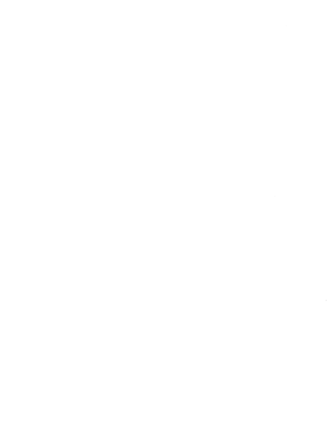$\frac{1}{2}$  ,  $\frac{1}{2}$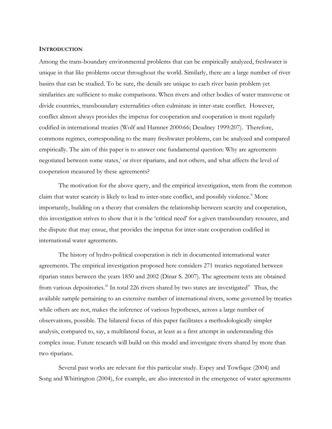## **INTRODUCTION**

Among the trans-boundary environmental problems that can be empirically analyzed, freshwater is unique in that like problems occur throughout the world. Similarly, there are a large number of river basins that can be studied. To be sure, the details are unique to each river basin problem yet similarities are sufficient to make comparisons. When rivers and other bodies of water transverse or divide countries, transboundary externalities often culminate in inter-state conflict. However, conflict almost always provides the impetus for cooperation and cooperation is most regularly codified in international treaties (Wolf and Hamner 2000:66; Deudney 1999:207). Therefore, commons regimes, corresponding to the many freshwater problems, can be analyzed and compared empirically. The aim of this paper is to answer one fundamental question: Why are agreements negot[i](#page-44-0)ated between some states,<sup>i</sup> or river riparians, and not others, and what affects the level of cooperation measured by these agreements?

 The motivation for the above query, and the empirical investigation, stem from the common claim that water scarcity is likely to lead to inter-state conflict, and possibly violence.<sup>[ii](#page-44-1)</sup> More importantly, building on a theory that considers the relationship between scarcity and cooperation, this investigation strives to show that it is the 'critical need' for a given transboundary resource, and the dispute that may ensue, that provides the impetus for inter-state cooperation codified in international water agreements.

The history of hydro-political cooperation is rich in documented international water agreements. The empirical investigation proposed here considers 271 treaties negotiated between riparian states between the years 1850 and 2002 (Dinar S. 2007). The agreement texts are obtained from various depositories.<sup>[iii](#page-44-1)</sup> In total 226 r[iv](#page-44-1)ers shared by two states are investigated<sup>iv</sup> Thus, the available sample pertaining to an extensive number of international rivers, some governed by treaties while others are not, makes the inference of various hypotheses, across a large number of observations, possible. The bilateral focus of this paper facilitates a methodologically simpler analysis, compared to, say, a multilateral focus, at least as a first attempt in understanding this complex issue. Future research will build on this model and investigate rivers shared by more than two riparians.

Several past works are relevant for this particular study. Espey and Towfique (2004) and Song and Whittington (2004), for example, are also interested in the emergence of water agreements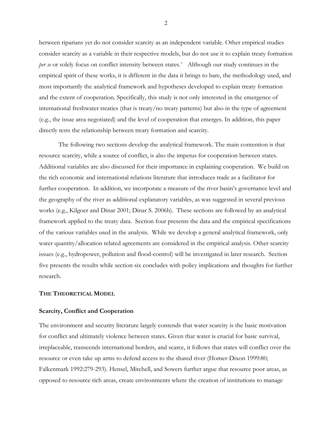between riparians yet do not consider scarcity as an independent variable. Other empirical studies consider scarcity as a variable in their respective models, but do not use it to explain treaty formation per se or solely focus on conflict intensity between states.<sup>[v](#page-44-1)</sup> Although our study continues in the empirical spirit of these works, it is different in the data it brings to bare, the methodology used, and most importantly the analytical framework and hypotheses developed to explain treaty formation and the extent of cooperation. Specifically, this study is not only interested in the emergence of international freshwater treaties (that is treaty/no treaty patterns) but also in the type of agreement (e.g., the issue area negotiated) and the level of cooperation that emerges. In addition, this paper directly tests the relationship between treaty formation and scarcity.

The following two sections develop the analytical framework. The main contention is that resource scarcity, while a source of conflict, is also the impetus for cooperation between states. Additional variables are also discussed for their importance in explaining cooperation. We build on the rich economic and international relations literature that introduces trade as a facilitator for further cooperation. In addition, we incorporate a measure of the river basin's governance level and the geography of the river as additional explanatory variables, as was suggested in several previous works (e.g., Kilgoer and Dinar 2001; Dinar S. 2006b). These sections are followed by an analytical framework applied to the treaty data. Section four presents the data and the empirical specifications of the various variables used in the analysis. While we develop a general analytical framework, only water quantity/allocation related agreements are considered in the empirical analysis. Other scarcity issues (e.g., hydropower, pollution and flood-control) will be investigated in later research. Section five presents the results while section six concludes with policy implications and thoughts for further research.

## **THE THEORETICAL MODEL**

## **Scarcity, Conflict and Cooperation**

The environment and security literature largely contends that water scarcity is the basic motivation for conflict and ultimately violence between states. Given that water is crucial for basic survival, irreplaceable, transcends international borders, and scarce, it follows that states will conflict over the resource or even take up arms to defend access to the shared river (Homer-Dixon 1999:80; Falkenmark 1992:279-293). Hensel, Mitchell, and Sowers further argue that resource poor areas, as opposed to resource rich areas, create environments where the creation of institutions to manage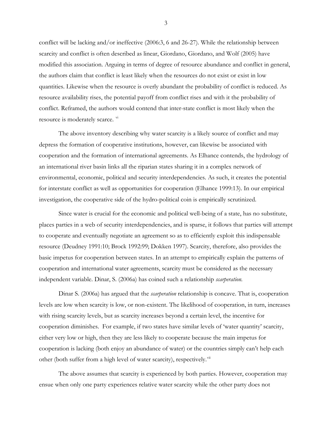conflict will be lacking and/or ineffective (2006:3, 6 and 26-27). While the relationship between scarcity and conflict is often described as linear, Giordano, Giordano, and Wolf (2005) have modified this association. Arguing in terms of degree of resource abundance and conflict in general, the authors claim that conflict is least likely when the resources do not exist or exist in low quantities. Likewise when the resource is overly abundant the probability of conflict is reduced. As resource availability rises, the potential payoff from conflict rises and with it the probability of conflict. Reframed, the authors would contend that inter-state conflict is most likely when the resource is moderately scarce. [vi](#page-44-1)

 The above inventory describing why water scarcity is a likely source of conflict and may depress the formation of cooperative institutions, however, can likewise be associated with cooperation and the formation of international agreements. As Elhance contends, the hydrology of an international river basin links all the riparian states sharing it in a complex network of environmental, economic, political and security interdependencies. As such, it creates the potential for interstate conflict as well as opportunities for cooperation (Elhance 1999:13). In our empirical investigation, the cooperative side of the hydro-political coin is empirically scrutinized.

 Since water is crucial for the economic and political well-being of a state, has no substitute, places parties in a web of security interdependencies, and is sparse, it follows that parties will attempt to cooperate and eventually negotiate an agreement so as to efficiently exploit this indispensable resource (Deudney 1991:10; Brock 1992:99; Dokken 1997). Scarcity, therefore, also provides the basic impetus for cooperation between states. In an attempt to empirically explain the patterns of cooperation and international water agreements, scarcity must be considered as the necessary independent variable. Dinar, S. (2006a) has coined such a relationship *scarperation.*

Dinar S. (2006a) has argued that the *scarperation* relationship is concave. That is, cooperation levels are low when scarcity is low, or non-existent. The likelihood of cooperation, in turn, increases with rising scarcity levels, but as scarcity increases beyond a certain level, the incentive for cooperation diminishes. For example, if two states have similar levels of 'water quantity' scarcity, either very low or high, then they are less likely to cooperate because the main impetus for cooperation is lacking (both enjoy an abundance of water) or the countries simply can't help each other (both suffer from a high level of water scarcity), respectively.<sup>[vii](#page-44-1)</sup>

The above assumes that scarcity is experienced by both parties. However, cooperation may ensue when only one party experiences relative water scarcity while the other party does not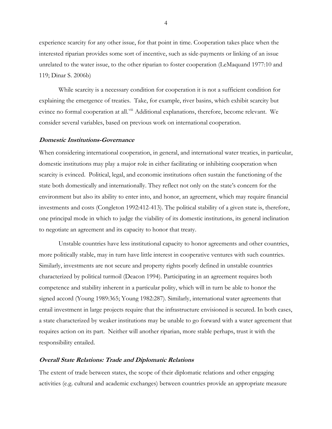experience scarcity for any other issue, for that point in time. Cooperation takes place when the interested riparian provides some sort of incentive, such as side-payments or linking of an issue unrelated to the water issue, to the other riparian to foster cooperation (LeMaquand 1977:10 and 119; Dinar S. 2006b)

While scarcity is a necessary condition for cooperation it is not a sufficient condition for explaining the emergence of treaties. Take, for example, river basins, which exhibit scarcity but evince no formal cooperation at all.<sup>[viii](#page-44-1)</sup> Additional explanations, therefore, become relevant. We consider several variables, based on previous work on international cooperation.

## **Domestic Institutions-Governance**

When considering international cooperation, in general, and international water treaties, in particular, domestic institutions may play a major role in either facilitating or inhibiting cooperation when scarcity is evinced. Political, legal, and economic institutions often sustain the functioning of the state both domestically and internationally. They reflect not only on the state's concern for the environment but also its ability to enter into, and honor, an agreement, which may require financial investments and costs (Congleton 1992:412-413). The political stability of a given state is, therefore, one principal mode in which to judge the viability of its domestic institutions, its general inclination to negotiate an agreement and its capacity to honor that treaty.

Unstable countries have less institutional capacity to honor agreements and other countries, more politically stable, may in turn have little interest in cooperative ventures with such countries. Similarly, investments are not secure and property rights poorly defined in unstable countries characterized by political turmoil (Deacon 1994). Participating in an agreement requires both competence and stability inherent in a particular polity, which will in turn be able to honor the signed accord (Young 1989:365; Young 1982:287). Similarly, international water agreements that entail investment in large projects require that the infrastructure envisioned is secured. In both cases, a state characterized by weaker institutions may be unable to go forward with a water agreement that requires action on its part. Neither will another riparian, more stable perhaps, trust it with the responsibility entailed.

#### **Overall State Relations: Trade and Diplomatic Relations**

The extent of trade between states, the scope of their diplomatic relations and other engaging activities (e.g. cultural and academic exchanges) between countries provide an appropriate measure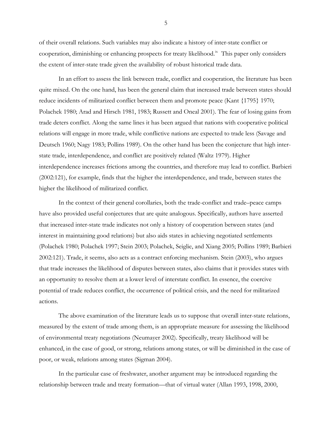of their overall relations. Such variables may also indicate a history of inter-state conflict or cooperation, diminishing or enhancing prospects for treaty likelihood.<sup>[ix](#page-44-1)</sup> This paper only considers the extent of inter-state trade given the availability of robust historical trade data.

In an effort to assess the link between trade, conflict and cooperation, the literature has been quite mixed. On the one hand, has been the general claim that increased trade between states should reduce incidents of militarized conflict between them and promote peace (Kant {1795} 1970; Polachek 1980; Arad and Hirsch 1981, 1983; Russett and Oneal 2001). The fear of losing gains from trade deters conflict. Along the same lines it has been argued that nations with cooperative political relations will engage in more trade, while conflictive nations are expected to trade less (Savage and Deutsch 1960; Nagy 1983; Pollins 1989). On the other hand has been the conjecture that high interstate trade, interdependence, and conflict are positively related (Waltz 1979). Higher interdependence increases frictions among the countries, and therefore may lead to conflict. Barbieri (2002:121), for example, finds that the higher the interdependence, and trade, between states the higher the likelihood of militarized conflict.

In the context of their general corollaries, both the trade-conflict and trade–peace camps have also provided useful conjectures that are quite analogous. Specifically, authors have asserted that increased inter-state trade indicates not only a history of cooperation between states (and interest in maintaining good relations) but also aids states in achieving negotiated settlements (Polachek 1980; Polachek 1997; Stein 2003; Polachek, Seiglie, and Xiang 2005; Pollins 1989; Barbieri 2002:121). Trade, it seems, also acts as a contract enforcing mechanism. Stein (2003), who argues that trade increases the likelihood of disputes between states, also claims that it provides states with an opportunity to resolve them at a lower level of interstate conflict. In essence, the coercive potential of trade reduces conflict, the occurrence of political crisis, and the need for militarized actions.

The above examination of the literature leads us to suppose that overall inter-state relations, measured by the extent of trade among them, is an appropriate measure for assessing the likelihood of environmental treaty negotiations (Neumayer 2002). Specifically, treaty likelihood will be enhanced, in the case of good, or strong, relations among states, or will be diminished in the case of poor, or weak, relations among states (Sigman 2004).

In the particular case of freshwater, another argument may be introduced regarding the relationship between trade and treaty formation—that of virtual water (Allan 1993, 1998, 2000,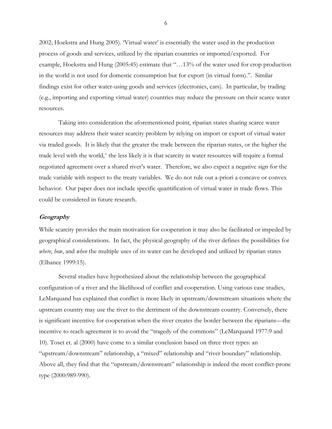2002; Hoekstra and Hung 2005). 'Virtual water' is essentially the water used in the production process of goods and services, utilized by the riparian countries or imported/exported. For example, Hoekstra and Hung (2005:45) estimate that "…13% of the water used for crop production in the world is not used for domestic consumption but for export (in virtual form).". Similar findings exist for other water-using goods and services (electronics, cars). In particular, by trading (e.g., importing and exporting virtual water) countries may reduce the pressure on their scarce water resources.

Taking into consideration the aforementioned point, riparian states sharing scarce water resources may address their water scarcity problem by relying on import or export of virtual water via traded goods. It is likely that the greater the trade between the riparian states, or the higher the trade level with the world,<sup>[x](#page-44-1)</sup> the less likely it is that scarcity in water resources will require a formal negotiated agreement over a shared river's water. Therefore, we also expect a negative sign for the trade variable with respect to the treaty variables. We do not rule out a-priori a concave or convex behavior. Our paper does not include specific quantification of virtual water in trade flows. This could be considered in future research.

## **Geography**

While scarcity provides the main motivation for cooperation it may also be facilitated or impeded by geographical considerations. In fact, the physical geography of the river defines the possibilities for *where*, *how*, and *when* the multiple uses of its water can be developed and utilized by riparian states (Elhance 1999:15).

Several studies have hypothesized about the relationship between the geographical configuration of a river and the likelihood of conflict and cooperation. Using various case studies, LeMarquand has explained that conflict is more likely in upstream/downstream situations where the upstream country may use the river to the detriment of the downstream country. Conversely, there is significant incentive for cooperation when the river creates the border between the riparians—the incentive to reach agreement is to avoid the "tragedy of the commons" (LeMarquand 1977:9 and 10). Toset et. al (2000) have come to a similar conclusion based on three river types: an "upstream/downstream" relationship, a "mixed" relationship and "river boundary" relationship. Above all, they find that the "upstream/downstream" relationship is indeed the most conflict-prone type (2000:989-990).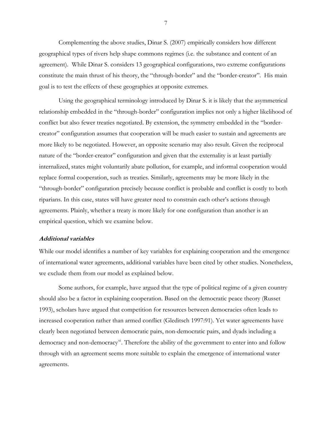Complementing the above studies, Dinar S. (2007) empirically considers how different geographical types of rivers help shape commons regimes (i.e. the substance and content of an agreement). While Dinar S. considers 13 geographical configurations, two extreme configurations constitute the main thrust of his theory, the "through-border" and the "border-creator". His main goal is to test the effects of these geographies at opposite extremes.

Using the geographical terminology introduced by Dinar S. it is likely that the asymmetrical relationship embedded in the "through-border" configuration implies not only a higher likelihood of conflict but also fewer treaties negotiated. By extension, the symmetry embedded in the "bordercreator" configuration assumes that cooperation will be much easier to sustain and agreements are more likely to be negotiated. However, an opposite scenario may also result. Given the reciprocal nature of the "border-creator" configuration and given that the externality is at least partially internalized, states might voluntarily abate pollution, for example, and informal cooperation would replace formal cooperation, such as treaties. Similarly, agreements may be more likely in the "through-border" configuration precisely because conflict is probable and conflict is costly to both riparians. In this case, states will have greater need to constrain each other's actions through agreements. Plainly, whether a treaty is more likely for one configuration than another is an empirical question, which we examine below.

## **Additional variables**

While our model identifies a number of key variables for explaining cooperation and the emergence of international water agreements, additional variables have been cited by other studies. Nonetheless, we exclude them from our model as explained below.

Some authors, for example, have argued that the type of political regime of a given country should also be a factor in explaining cooperation. Based on the democratic peace theory (Russet 1993), scholars have argued that competition for resources between democracies often leads to increased cooperation rather than armed conflict (Gleditsch 1997:91). Yet water agreements have clearly been negotiated between democratic pairs, non-democratic pairs, and dyads including a democracy and non-democracy<sup>[xi](#page-44-1)</sup>. Therefore the ability of the government to enter into and follow through with an agreement seems more suitable to explain the emergence of international water agreements.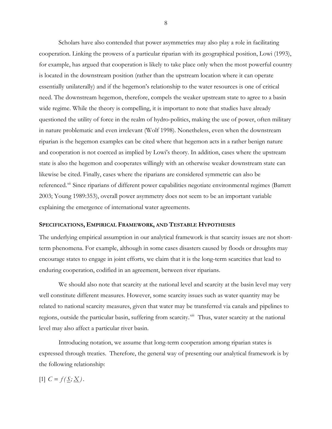Scholars have also contended that power asymmetries may also play a role in facilitating cooperation. Linking the prowess of a particular riparian with its geographical position, Lowi (1993), for example, has argued that cooperation is likely to take place only when the most powerful country is located in the downstream position (rather than the upstream location where it can operate essentially unilaterally) and if the hegemon's relationship to the water resources is one of critical need. The downstream hegemon, therefore, compels the weaker upstream state to agree to a basin wide regime. While the theory is compelling, it is important to note that studies have already questioned the utility of force in the realm of hydro-politics, making the use of power, often military in nature problematic and even irrelevant (Wolf 1998). Nonetheless, even when the downstream riparian is the hegemon examples can be cited where that hegemon acts in a rather benign nature and cooperation is not coerced as implied by Lowi's theory. In addition, cases where the upstream state is also the hegemon and cooperates willingly with an otherwise weaker downstream state can likewise be cited. Finally, cases where the riparians are considered symmetric can also be referenced.<sup>[xii](#page-44-1)</sup> Since riparians of different power capabilities negotiate environmental regimes (Barrett 2003; Young 1989:353), overall power asymmetry does not seem to be an important variable explaining the emergence of international water agreements.

## **SPECIFICATIONS, EMPIRICAL FRAMEWORK, AND TESTABLE HYPOTHESES**

The underlying empirical assumption in our analytical framework is that scarcity issues are not shortterm phenomena. For example, although in some cases disasters caused by floods or droughts may encourage states to engage in joint efforts, we claim that it is the long-term scarcities that lead to enduring cooperation, codified in an agreement, between river riparians.

We should also note that scarcity at the national level and scarcity at the basin level may very well constitute different measures. However, some scarcity issues such as water quantity may be related to national scarcity measures, given that water may be transferred via canals and pipelines to regions, outside the particular basin, suffering from scarcity.<sup>[xiii](#page-44-1)</sup> Thus, water scarcity at the national level may also affect a particular river basin.

Introducing notation, we assume that long-term cooperation among riparian states is expressed through treaties. Therefore, the general way of presenting our analytical framework is by the following relationship:

 $[1]$   $C = f(S; X)$ .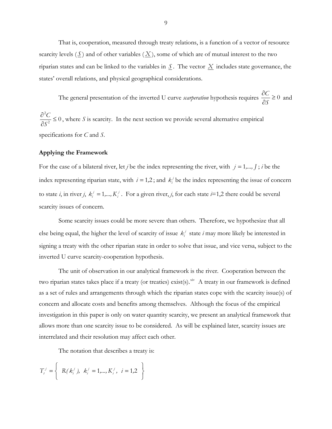That is, cooperation, measured through treaty relations, is a function of a vector of resource scarcity levels  $(\underline{S})$  and of other variables  $(\underline{X})$ , some of which are of mutual interest to the two riparian states and can be linked to the variables in  $S$ . The vector  $X$  includes state governance, the states' overall relations, and physical geographical considerations.

The general presentation of the inverted U curve *scarperation* hypothesis requires  $\frac{1}{2} \ge 0$ ∂ ∂ *S*  $\frac{C}{2} \ge 0$  and  $\frac{1}{2} \leq 0$ 2 ≤ ∂ ∂ *S*  $\frac{C}{\sigma^2} \le 0$ , where *S* is scarcity. In the next section we provide several alternative empirical specifications for *C* and *S*.

## **Applying the Framework**

For the case of a bilateral river, let *j* be the index representing the river, with  $j = 1, ..., J$ ; *i* be the index representing riparian state, with  $i = 1,2$ ; and  $k_i^j$  be the index representing the issue of concern to state *i*, in river *j*,  $k_i^j = 1,..., K_i^j$ . For a given river, *j*, for each state *i*=1,2 there could be several scarcity issues of concern. *i*  $k_i^j = 1, ..., K$ 

Some scarcity issues could be more severe than others. Therefore, we hypothesize that all else being equal, the higher the level of scarcity of issue  $k_i^j$  state *i* may more likely be interested in signing a treaty with the other riparian state in order to solve that issue, and vice versa, subject to the inverted U curve scarcity-cooperation hypothesis.

The unit of observation in our analytical framework is the river. Cooperation between the two riparian states takes place if a treaty (or treaties) exist(s).<sup>[xiv](#page-44-1)</sup> A treaty in our framework is defined as a set of rules and arrangements through which the riparian states cope with the scarcity issue(s) of concern and allocate costs and benefits among themselves. Although the focus of the empirical investigation in this paper is only on water quantity scarcity, we present an analytical framework that allows more than one scarcity issue to be considered. As will be explained later, scarcity issues are interrelated and their resolution may affect each other.

The notation that describes a treaty is:

$$
T_i^j = \left\{ R(k_i^j), k_i^j = 1, ..., K_i^j, i = 1, 2 \right\}
$$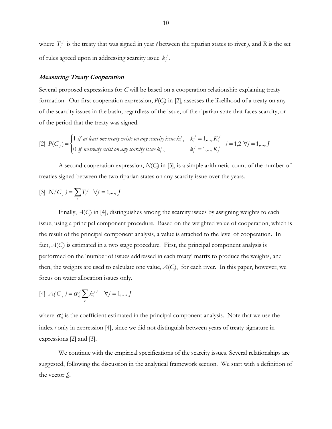where  $T_t^j$  is the treaty that was signed in year *t* between the riparian states to river *j*, and *R* is the set of rules agreed upon in addressing scarcity issue  $k_i^j$ .

## **Measuring Treaty Cooperation**

Several proposed expressions for *C* will be based on a cooperation relationship explaining treaty formation. Our first cooperation expression, *P*(*Cj* ) in [2], assesses the likelihood of a treaty on any of the scarcity issues in the basin, regardless of the issue, of the riparian state that faces scarcity, or of the period that the treaty was signed.

$$
[2] \ P(C_j) = \begin{cases} 1 \text{ if at least one treaty exists on any scarcity issue } k_i^j, & k_i^j = 1, \dots, K_i^j \\ 0 \text{ if not ready exist on any scarcity issue } k_i^j, & k_i^j = 1, \dots, K_i^j \end{cases} \quad i = 1, 2 \ \forall j = 1, \dots, J
$$

A second cooperation expression, *N*(*Cj* ) in [3], is a simple arithmetic count of the number of treaties signed between the two riparian states on any scarcity issue over the years.

[3] 
$$
N(C_j) = \sum_i T_i^j \quad \forall j = 1,..., J
$$

Finally,  $A(C)$  in [4], distinguishes among the scarcity issues by assigning weights to each issue, using a principal component procedure. Based on the weighted value of cooperation, which is the result of the principal component analysis, a value is attached to the level of cooperation. In fact,  $A(C)$  is estimated in a two stage procedure. First, the principal component analysis is performed on the 'number of issues addressed in each treaty' matrix to produce the weights, and then, the weights are used to calculate one value,  $A(C)$ , for each river. In this paper, however, we focus on water allocation issues only.

$$
[4] A(C_j) = \alpha_k^j \sum_i k_i^{j,i} \quad \forall j = 1,...,J
$$

where  $\alpha_k^j$  is the coefficient estimated in the principal component analysis. Note that we use the index *t* only in expression [4], since we did not distinguish between years of treaty signature in expressions [2] and [3].

We continue with the empirical specifications of the scarcity issues. Several relationships are suggested, following the discussion in the analytical framework section. We start with a definition of the vector *S*.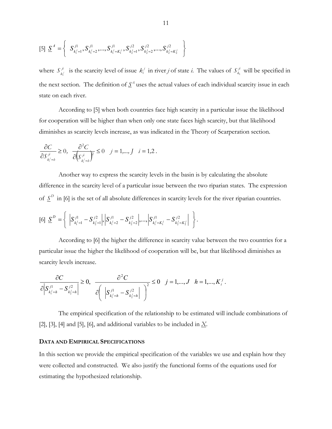$$
\begin{bmatrix} 5 \end{bmatrix} \underline{S}^{A} = \left\{ S_{k_{1}^{j}=1}^{j1}, S_{k_{1}^{j}=2}^{j1}, \ldots, S_{k_{1}^{j}=K_{1}^{j}}^{j1}, S_{k_{2}^{j}=1}^{j2}, S_{k_{2}^{j}=2}^{j2}, \ldots, S_{k_{2}^{j}=K_{2}^{j}}^{j2} \right\}
$$

where  $S_{i,j}^{ji}$  is the scarcity level of issue  $k_i^j$  in river *j* of state *i*. The values of  $S_{k_i}^{ji}$  will be specified in the next section. The definition of  $S<sup>A</sup>$  uses the actual values of each individual scarcity issue in each  $S_{k_i^j}$  is the scarcity level of issue  $k_i^j$  in river *j* of state *i*. The values of  $S_{k_i}^{j_i}$ state on each river.

According to [5] when both countries face high scarcity in a particular issue the likelihood for cooperation will be higher than when only one state faces high scarcity, but that likelihood diminishes as scarcity levels increase, as was indicated in the Theory of Scarperation section.

$$
\frac{\partial C}{\partial S_{\underset{k}{i=b}}^{ji}} \ge 0, \quad \frac{\partial^2 C}{\partial \left(S_{\underset{k}{i}=b}^{ji}\right)^2} \le 0 \quad j=1,\dots,J \quad i=1,2.
$$

Another way to express the scarcity levels in the basin is by calculating the absolute difference in the scarcity level of a particular issue between the two riparian states. The expression of  $\mathcal{S}^D$  in [6] is the set of all absolute differences in scarcity levels for the river riparian countries.

$$
\begin{aligned}\n\text{[6]} \ \ \underline{S}^D = \left\{ \ \ \left| S_{k_1^j=1}^{j1} - S_{k_2^j=1}^{j2} \right|, \left| S_{k_1^j=2}^{j1} - S_{k_2^j=2}^{j2} \right|, \dots, \left| S_{k_1^j=K_1^j}^{j1} - S_{k_2^j=K_2^j}^{j2} \right| \ \ \right\}.\n\end{aligned}
$$

According to [6] the higher the difference in scarcity value between the two countries for a particular issue the higher the likelihood of cooperation will be, but that likelihood diminishes as scarcity levels increase.

$$
\frac{\partial C}{\partial \left|S_{k_i'-h}^{j^1}-S_{k_2'-h}^{j^2}\right|} \geq 0, \quad \frac{\partial^2 C}{\partial \left|\left|S_{k_i'-h}^{j^1}-S_{k_2'-h}^{j^2}\right|\right|^2} \leq 0 \quad j=1,...,J \quad h=1,...,K_i^j.
$$

 The empirical specification of the relationship to be estimated will include combinations of [2], [3], [4] and [5], [6], and additional variables to be included in *X*.

## **DATA AND EMPIRICAL SPECIFICATIONS**

In this section we provide the empirical specification of the variables we use and explain how they were collected and constructed. We also justify the functional forms of the equations used for estimating the hypothesized relationship.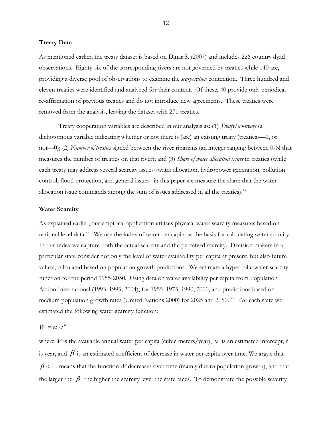## **Treaty Data**

As mentioned earlier, the treaty dataset is based on Dinar S. (2007) and includes 226 country dyad observations. Eighty-six of the corresponding rivers are not governed by treaties while 140 are, providing a diverse pool of observations to examine the *scarperation* contention. Three hundred and eleven treaties were identified and analyzed for their content. Of these, 40 provide only periodical re-affirmation of previous treaties and do not introduce new agreements. These treaties were removed from the analysis, leaving the dataset with 271 treaties.

Treaty cooperation variables are described in our analysis as: (1) *Treaty/no-treaty* (a dichotomous variable indicating whether or not there is (are) an existing treaty (treaties)—1, or not—0); (2) *Number of treaties* signed between the river riparians (an integer ranging between 0-N that measures the number of treaties on that river); and (3) *Share of water allocation issues* in treaties (while each treaty may address several scarcity issues--water allocation, hydropower generation, pollution control, flood protection, and general issues--in this paper we measure the share that the water allocation issue commands among the sum of issues addressed in all the treaties). $\frac{x}{x}$ 

## **Water Scarcity**

As explained earlier, our empirical application utilizes physical water scarcity measures based on national level data.<sup>[xvi](#page-44-1)</sup> We use the index of water per capita as the basis for calculating water scarcity. In this index we capture both the actual scarcity and the perceived scarcity. Decision makers in a particular state consider not only the level of water availability per capita at present, but also future values, calculated based on population growth predictions. We estimate a hyperbolic water scarcity function for the period 1955-2050. Using data on water availability per capita from Population Action International (1993, 1995, 2004), for 1955, 1975, 1990, 2000, and predictions based on medium population growth rates (United Nations 2000) for 2025 and 2050.<sup>[xvii](#page-44-1)</sup> For each state we estimated the following water scarcity function:

## $W = \alpha \cdot t^{\beta}$

where *W* is the available annual water per capita (cubic meters/year),  $\alpha$  is an estimated intercept, *t* is year, and  $\beta$  is an estimated coefficient of decrease in water per capita over time. We argue that  $\beta$  < 0, means that the function *W* decreases over time (mainly due to population growth), and that the larger the  $|\beta|$  the higher the scarcity level the state faces. To demonstrate the possible severity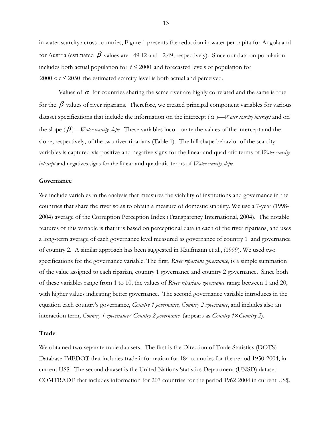in water scarcity across countries, Figure 1 presents the reduction in water per capita for Angola and for Austria (estimated  $\beta$  values are –49.12 and –2.49, respectively). Since our data on population includes both actual population for  $t \leq 2000$  and forecasted levels of population for  $2000 < t \le 2050$  the estimated scarcity level is both actual and perceived.

Values of  $\alpha$  for countries sharing the same river are highly correlated and the same is true for the  $\beta$  values of river riparians. Therefore, we created principal component variables for various dataset specifications that include the information on the intercept  $(\alpha)$ —*Water scarcity intercept* and on the slope  $(\beta)$ —*Water scarcity slope*. These variables incorporate the values of the intercept and the slope, respectively, of the two river riparians (Table 1). The hill shape behavior of the scarcity variables is captured via positive and negative signs for the linear and quadratic terms of *Water scarcity intercept* and negatives signs for the linear and quadratic terms of *Water scarcity slope*.

## **Governance**

We include variables in the analysis that measures the viability of institutions and governance in the countries that share the river so as to obtain a measure of domestic stability. We use a 7-year (1998- 2004) average of the Corruption Perception Index (Transparency International, 2004). The notable features of this variable is that it is based on perceptional data in each of the river riparians, and uses a long-term average of each governance level measured as governance of country 1 and governance of country 2. A similar approach has been suggested in Kaufmann et al., (1999). We used two specifications for the governance variable. The first, *River riparians governance*, is a simple summation of the value assigned to each riparian, country 1 governance and country 2 governance. Since both of these variables range from 1 to 10, the values of *River riparians governance* range between 1 and 20, with higher values indicating better governance. The second governance variable introduces in the equation each country's governance, *Country 1 governance*, *Country 2 governance*, and includes also an interaction term, *Country 1 governance*×*Country 2 governance* (appears as *Country 1*×*Country 2*).

#### **Trade**

We obtained two separate trade datasets. The first is the Direction of Trade Statistics (DOTS) Database IMFDOT that includes trade information for 184 countries for the period 1950-2004, in current US\$. The second dataset is the United Nations Statistics Department (UNSD) dataset COMTRADE that includes information for 207 countries for the period 1962-2004 in current US\$.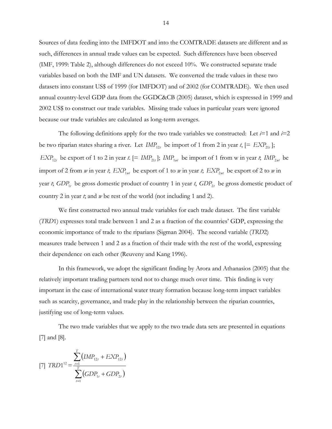Sources of data feeding into the IMFDOT and into the COMTRADE datasets are different and as such, differences in annual trade values can be expected. Such differences have been observed (IMF, 1999: Table 2), although differences do not exceed 10%. We constructed separate trade variables based on both the IMF and UN datasets. We converted the trade values in these two datasets into constant US\$ of 1999 (for IMFDOT) and of 2002 (for COMTRADE). We then used annual country-level GDP data from the GGDC&CB (2005) dataset, which is expressed in 1999 and 2002 US\$ to construct our trade variables. Missing trade values in particular years were ignored because our trade variables are calculated as long-term averages.

The following definitions apply for the two trade variables we constructed: Let  $i=1$  and  $i=2$ be two riparian states sharing a river. Let  $IMP_{12t}$  be import of 1 from 2 in year  $t$ ,  $[= EXP_{21t}]$ ;  $EXP_{12t}$  be export of 1 to 2 in year *t*.  $[=IMP_{21t}]$ ;  $IMP_{1wt}$  be import of 1 from w in year *t*;  $IMP_{2wt}$  be import of 2 from *w* in year *t*;  $EXP_{1wt}$  be export of 1 to *w* in year *t*;  $EXP_{2wt}$  be export of 2 to *w* in year *t*;  $GDP_{1t}$  be gross domestic product of country 1 in year *t*,  $GDP_{2t}$  be gross domestic product of country 2 in year *t*; and *w* be rest of the world (not including 1 and 2).

We first constructed two annual trade variables for each trade dataset. The first variable (*TRD*1) expresses total trade between 1 and 2 as a fraction of the countries' GDP, expressing the economic importance of trade to the riparians (Sigman 2004). The second variable (*TRD*2) measures trade between 1 and 2 as a fraction of their trade with the rest of the world, expressing their dependence on each other (Reuveny and Kang 1996).

In this framework, we adopt the significant finding by Arora and Athanasios (2005) that the relatively important trading partners tend not to change much over time. This finding is very important in the case of international water treaty formation because long-term impact variables such as scarcity, governance, and trade play in the relationship between the riparian countries, justifying use of long-term values.

 The two trade variables that we apply to the two trade data sets are presented in equations [7] and [8].

[7] 
$$
TRD1^{12} = \frac{\sum_{t=1}^{T} (IMP_{12t} + EXP_{12t})}{\sum_{t=1}^{T} (GDP_{1t} + GDP_{2t})}
$$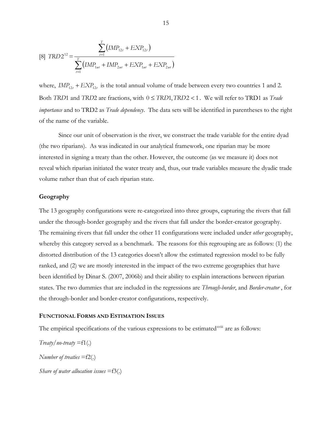$$
[8] TRD212 = \frac{\sum_{t=1}^{T} (IMP_{12t} + EXP_{12t})}{\sum_{t=1}^{T} (IMP_{1wt} + IMP_{2wt} + EXP_{1wt} + EXP_{2wt})}
$$

where,  $IMP_{12t}$  +  $EXP_{12t}$  is the total annual volume of trade between every two countries 1 and 2. Both *TRD*1 and *TRD*2 are fractions, with 0 ≤ *TRD*1, *TRD*2 < 1. We will refer to TRD1 as *Trade importance* and to TRD2 as *Trade dependency*. The data sets will be identified in parentheses to the right of the name of the variable.

Since our unit of observation is the river, we construct the trade variable for the entire dyad (the two riparians). As was indicated in our analytical framework, one riparian may be more interested in signing a treaty than the other. However, the outcome (as we measure it) does not reveal which riparian initiated the water treaty and, thus, our trade variables measure the dyadic trade volume rather than that of each riparian state.

## **Geography**

The 13 geography configurations were re-categorized into three groups, capturing the rivers that fall under the through-border geography and the rivers that fall under the border-creator geography. The remaining rivers that fall under the other 11 configurations were included under *other* geography, whereby this category served as a benchmark. The reasons for this regrouping are as follows: (1) the distorted distribution of the 13 categories doesn't allow the estimated regression model to be fully ranked, and (2) we are mostly interested in the impact of the two extreme geographies that have been identified by Dinar S. (2007, 2006b) and their ability to explain interactions between riparian states. The two dummies that are included in the regressions are *Through-border*, and *Border-creator* , for the through-border and border-creator configurations, respectively.

## **FUNCTIONAL FORMS AND ESTIMATION ISSUES**

The empirical specifications of the various expressions to be estimated<sup>[xviii](#page-44-1)</sup> are as follows:

 $Treaty/no-treaty = f1(.)$ *Number of treaties* =f2(.) *Share of water allocation issues* =f3(.)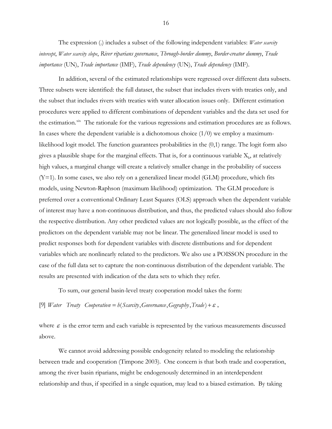The expression (.) includes a subset of the following independent variables: *Water scarcity intercept*, *Water scarcity slope*, *River riparians governance*, *Through-border dummy*, *Border-creator dummy*, *Trade importance* (UN), *Trade importance* (IMF), *Trade dependency* (UN), *Trade dependency* (IMF).

 In addition, several of the estimated relationships were regressed over different data subsets. Three subsets were identified: the full dataset, the subset that includes rivers with treaties only, and the subset that includes rivers with treaties with water allocation issues only. Different estimation procedures were applied to different combinations of dependent variables and the data set used for the estimation.<sup>[xix](#page-44-1)</sup> The rationale for the various regressions and estimation procedures are as follows. In cases where the dependent variable is a dichotomous choice  $(1/0)$  we employ a maximumlikelihood logit model. The function guarantees probabilities in the (0,1) range. The logit form also gives a plausible shape for the marginal effects. That is, for a continuous variable  $X_k$ , at relatively high values, a marginal change will create a relatively smaller change in the probability of success  $(Y=1)$ . In some cases, we also rely on a generalized linear model (GLM) procedure, which fits models, using Newton-Raphson (maximum likelihood) optimization. The GLM procedure is preferred over a conventional Ordinary Least Squares (OLS) approach when the dependent variable of interest may have a non-continuous distribution, and thus, the predicted values should also follow the respective distribution. Any other predicted values are not logically possible, as the effect of the predictors on the dependent variable may not be linear. The generalized linear model is used to predict responses both for dependent variables with discrete distributions and for dependent variables which are nonlinearly related to the predictors. We also use a POISSON procedure in the case of the full data set to capture the non-continuous distribution of the dependent variable. The results are presented with indication of the data sets to which they refer.

To sum, our general basin-level treaty cooperation model takes the form:

[9] *Water*  $Treaty$   $Cooperation = h(Scarity, Governmente, Gegraphy, Trade) + \varepsilon$ ,

where  $\varepsilon$  is the error term and each variable is represented by the various measurements discussed above.

 We cannot avoid addressing possible endogeneity related to modeling the relationship between trade and cooperation (Timpone 2003). One concern is that both trade and cooperation, among the river basin riparians, might be endogenously determined in an interdependent relationship and thus, if specified in a single equation, may lead to a biased estimation. By taking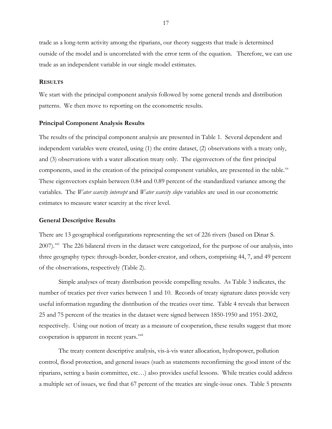trade as a long-term activity among the riparians, our theory suggests that trade is determined outside of the model and is uncorrelated with the error term of the equation. Therefore, we can use trade as an independent variable in our single model estimates.

### **RESULTS**

We start with the principal component analysis followed by some general trends and distribution patterns. We then move to reporting on the econometric results.

## **Principal Component Analysis Results**

The results of the principal component analysis are presented in Table 1. Several dependent and independent variables were created, using (1) the entire dataset, (2) observations with a treaty only, and (3) observations with a water allocation treaty only. The eigenvectors of the first principal components, used in the creation of the principal component variables, are presented in the table.<sup>[xx](#page-44-1)</sup> These eigenvectors explain between 0.84 and 0.89 percent of the standardized variance among the variables. The *Water scarcity intercept* and *Water scarcity slope* variables are used in our econometric estimates to measure water scarcity at the river level.

## **General Descriptive Results**

There are 13 geographical configurations representing the set of 226 rivers (based on Dinar S. 2007).<sup>[xxi](#page-44-1)</sup> The 226 bilateral rivers in the dataset were categorized, for the purpose of our analysis, into three geography types: through-border, border-creator, and others, comprising 44, 7, and 49 percent of the observations, respectively (Table 2).

Simple analyses of treaty distribution provide compelling results. As Table 3 indicates, the number of treaties per river varies between 1 and 10. Records of treaty signature dates provide very useful information regarding the distribution of the treaties over time. Table 4 reveals that between 25 and 75 percent of the treaties in the dataset were signed between 1850-1950 and 1951-2002, respectively. Using our notion of treaty as a measure of cooperation, these results suggest that more cooperation is apparent in recent years.<sup>[xxii](#page-44-1)</sup>

The treaty content descriptive analysis, vis-à-vis water allocation, hydropower, pollution control, flood protection, and general issues (such as statements reconfirming the good intent of the riparians, setting a basin committee, etc…) also provides useful lessons. While treaties could address a multiple set of issues, we find that 67 percent of the treaties are single-issue ones. Table 5 presents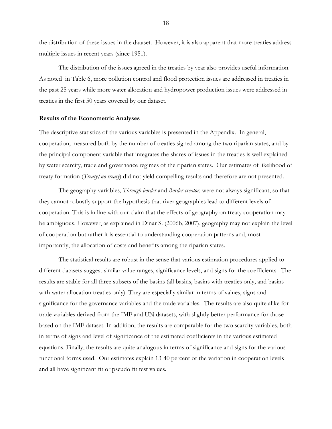the distribution of these issues in the dataset. However, it is also apparent that more treaties address multiple issues in recent years (since 1951).

The distribution of the issues agreed in the treaties by year also provides useful information. As noted in Table 6, more pollution control and flood protection issues are addressed in treaties in the past 25 years while more water allocation and hydropower production issues were addressed in treaties in the first 50 years covered by our dataset.

## **Results of the Econometric Analyses**

The descriptive statistics of the various variables is presented in the Appendix. In general, cooperation, measured both by the number of treaties signed among the two riparian states, and by the principal component variable that integrates the shares of issues in the treaties is well explained by water scarcity, trade and governance regimes of the riparian states. Our estimates of likelihood of treaty formation (*Treaty/no-treaty*) did not yield compelling results and therefore are not presented.

The geography variables, *Through-border* and *Border-creator*, were not always significant, so that they cannot robustly support the hypothesis that river geographies lead to different levels of cooperation. This is in line with our claim that the effects of geography on treaty cooperation may be ambiguous. However, as explained in Dinar S. (2006b, 2007), geography may not explain the level of cooperation but rather it is essential to understanding cooperation patterns and, most importantly, the allocation of costs and benefits among the riparian states.

 The statistical results are robust in the sense that various estimation procedures applied to different datasets suggest similar value ranges, significance levels, and signs for the coefficients. The results are stable for all three subsets of the basins (all basins, basins with treaties only, and basins with water allocation treaties only). They are especially similar in terms of values, signs and significance for the governance variables and the trade variables. The results are also quite alike for trade variables derived from the IMF and UN datasets, with slightly better performance for those based on the IMF dataset. In addition, the results are comparable for the two scarcity variables, both in terms of signs and level of significance of the estimated coefficients in the various estimated equations. Finally, the results are quite analogous in terms of significance and signs for the various functional forms used. Our estimates explain 13-40 percent of the variation in cooperation levels and all have significant fit or pseudo fit test values.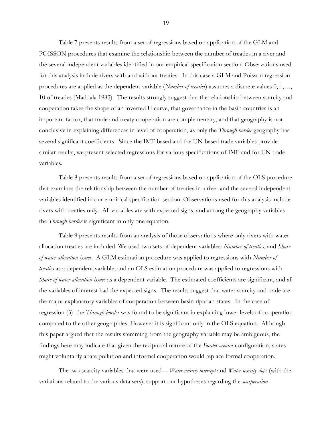Table 7 presents results from a set of regressions based on application of the GLM and POISSON procedures that examine the relationship between the number of treaties in a river and the several independent variables identified in our empirical specification section. Observations used for this analysis include rivers with and without treaties. In this case a GLM and Poisson regression procedures are applied as the dependent variable (*Number of treaties*) assumes a discrete values 0, 1,…, 10 of treaties (Maddala 1983). The results strongly suggest that the relationship between scarcity and cooperation takes the shape of an inverted U curve, that governance in the basin countries is an important factor, that trade and treaty cooperation are complementary, and that geography is not conclusive in explaining differences in level of cooperation, as only the *Through-border* geography has several significant coefficients. Since the IMF-based and the UN-based trade variables provide similar results, we present selected regressions for various specifications of IMF and for UN trade variables.

Table 8 presents results from a set of regressions based on application of the OLS procedure that examines the relationship between the number of treaties in a river and the several independent variables identified in our empirical specification section. Observations used for this analysis include rivers with treaties only. All variables are with expected signs, and among the geography variables the *Through-border* is significant in only one equation.

Table 9 presents results from an analysis of those observations where only rivers with water allocation treaties are included. We used two sets of dependent variables: *Number of treaties*, and *Share of water allocation issues*. A GLM estimation procedure was applied to regressions with *Number of treaties* as a dependent variable, and an OLS estimation procedure was applied to regressions with *Share of water allocation issues* as a dependent variable. The estimated coefficients are significant, and all the variables of interest had the expected signs. The results suggest that water scarcity and trade are the major explanatory variables of cooperation between basin riparian states. In the case of regression (3) the *Through-border* was found to be significant in explaining lower levels of cooperation compared to the other geographies. However it is significant only in the OLS equation. Although this paper argued that the results stemming from the geography variable may be ambiguous, the findings here may indicate that given the reciprocal nature of the *Border-creator* configuration, states might voluntarily abate pollution and informal cooperation would replace formal cooperation.

 The two scarcity variables that were used— *Water scarcity intercept* and *Water scarcity slope* (with the variations related to the various data sets), support our hypotheses regarding the *scarperation*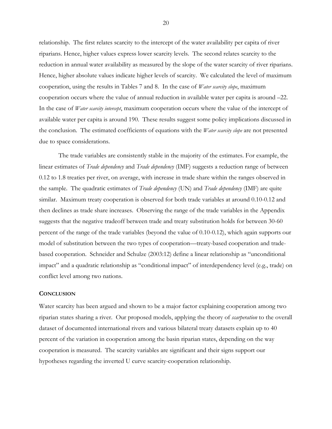relationship. The first relates scarcity to the intercept of the water availability per capita of river riparians. Hence, higher values express lower scarcity levels. The second relates scarcity to the reduction in annual water availability as measured by the slope of the water scarcity of river riparians. Hence, higher absolute values indicate higher levels of scarcity. We calculated the level of maximum cooperation, using the results in Tables 7 and 8. In the case of *Water scarcity slope*, maximum cooperation occurs where the value of annual reduction in available water per capita is around –22. In the case of *Water scarcity intercept*, maximum cooperation occurs where the value of the intercept of available water per capita is around 190. These results suggest some policy implications discussed in the conclusion. The estimated coefficients of equations with the *Water scarcity slope* are not presented due to space considerations.

 The trade variables are consistently stable in the majority of the estimates. For example, the linear estimates of *Trade dependency* and *Trade dependency* (IMF) suggests a reduction range of between 0.12 to 1.8 treaties per river, on average, with increase in trade share within the ranges observed in the sample. The quadratic estimates of *Trade dependency* (UN) and *Trade dependency* (IMF) are quite similar. Maximum treaty cooperation is observed for both trade variables at around 0.10-0.12 and then declines as trade share increases. Observing the range of the trade variables in the Appendix suggests that the negative tradeoff between trade and treaty substitution holds for between 30-60 percent of the range of the trade variables (beyond the value of 0.10-0.12), which again supports our model of substitution between the two types of cooperation—treaty-based cooperation and tradebased cooperation. Schneider and Schulze (2003:12) define a linear relationship as "unconditional impact" and a quadratic relationship as "conditional impact" of interdependency level (e.g., trade) on conflict level among two nations.

## **CONCLUSION**

Water scarcity has been argued and shown to be a major factor explaining cooperation among two riparian states sharing a river. Our proposed models, applying the theory of *scarperation* to the overall dataset of documented international rivers and various bilateral treaty datasets explain up to 40 percent of the variation in cooperation among the basin riparian states, depending on the way cooperation is measured. The scarcity variables are significant and their signs support our hypotheses regarding the inverted U curve scarcity-cooperation relationship.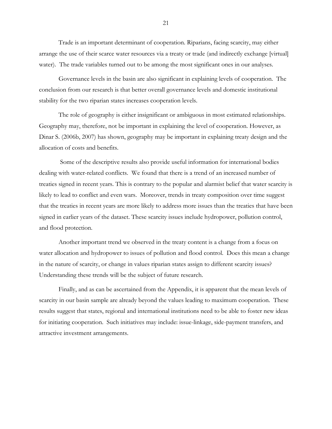Trade is an important determinant of cooperation. Riparians, facing scarcity, may either arrange the use of their scarce water resources via a treaty or trade (and indirectly exchange [virtual] water). The trade variables turned out to be among the most significant ones in our analyses.

Governance levels in the basin are also significant in explaining levels of cooperation. The conclusion from our research is that better overall governance levels and domestic institutional stability for the two riparian states increases cooperation levels.

The role of geography is either insignificant or ambiguous in most estimated relationships. Geography may, therefore, not be important in explaining the level of cooperation. However, as Dinar S. (2006b, 2007) has shown, geography may be important in explaining treaty design and the allocation of costs and benefits.

 Some of the descriptive results also provide useful information for international bodies dealing with water-related conflicts. We found that there is a trend of an increased number of treaties signed in recent years. This is contrary to the popular and alarmist belief that water scarcity is likely to lead to conflict and even wars. Moreover, trends in treaty composition over time suggest that the treaties in recent years are more likely to address more issues than the treaties that have been signed in earlier years of the dataset. These scarcity issues include hydropower, pollution control, and flood protection.

Another important trend we observed in the treaty content is a change from a focus on water allocation and hydropower to issues of pollution and flood control. Does this mean a change in the nature of scarcity, or change in values riparian states assign to different scarcity issues? Understanding these trends will be the subject of future research.

Finally, and as can be ascertained from the Appendix, it is apparent that the mean levels of scarcity in our basin sample are already beyond the values leading to maximum cooperation. These results suggest that states, regional and international institutions need to be able to foster new ideas for initiating cooperation. Such initiatives may include: issue-linkage, side-payment transfers, and attractive investment arrangements.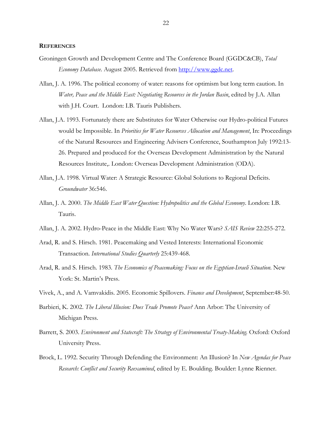## **REFERENCES**

- Groningen Growth and Development Centre and The Conference Board (GGDC&CB), *Total Economy Database*. August 2005. Retrieved from [http://www.ggdc.net.](http://www.ggdc.net/)
- Allan, J. A. 1996. The political economy of water: reasons for optimism but long term caution. In *Water, Peace and the Middle East: Negotiating Resources in the Jordan Basin*, edited by J.A. Allan with J.H. Court. London: I.B. Tauris Publishers.
- Allan, J.A. 1993. Fortunately there are Substitutes for Water Otherwise our Hydro-political Futures would be Impossible. In *Priorities for Water Resources Allocation and Management*, In: Proceedings of the Natural Resources and Engineering Advisers Conference, Southampton July 1992:13- 26. Prepared and produced for the Overseas Development Administration by the Natural Resources Institute,. London: Overseas Development Administration (ODA).
- Allan, J.A. 1998. Virtual Water: A Strategic Resource: Global Solutions to Regional Deficits. *Groundwater* 36:546.
- Allan, J. A. 2000. *The Middle East Water Question: Hydropolitics and the Global Economy*. London: I.B. Tauris.
- Allan, J. A. 2002. Hydro-Peace in the Middle East: Why No Water Wars? *SAIS Review* 22:255-272.
- Arad, R. and S. Hirsch. 1981. Peacemaking and Vested Interests: International Economic Transaction. *International Studies Quarterly* 25:439-468.
- Arad, R. and S. Hirsch. 1983. *The Economics of Peacemaking: Focus on the Egyptian-Israeli Situation*. New York: St. Martin's Press.
- Vivek, A., and A. Vamvakidis. 2005. Economic Spillovers. *Finance and Development*, September:48-50.
- Barbieri, K. 2002. *The Liberal Illusion: Does Trade Promote Peace?* Ann Arbor: The University of Michigan Press.
- Barrett, S. 2003. *Environment and Statecraft: The Strategy of Environmental Treaty-Making*. Oxford: Oxford University Press.
- Brock, L. 1992. Security Through Defending the Environment: An Illusion? In *New Agendas for Peace Research: Conflict and Security Reexamined*, edited by E. Boulding. Boulder: Lynne Rienner.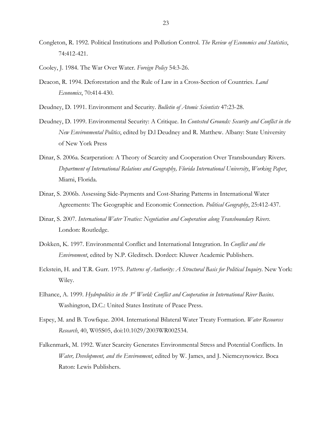- Congleton, R. 1992. Political Institutions and Pollution Control. *The Review of Economics and Statistics*, 74:412-421.
- Cooley, J. 1984. The War Over Water. *Foreign Policy* 54:3-26.
- Deacon, R. 1994. Deforestation and the Rule of Law in a Cross-Section of Countries. *Land Economics*, 70:414-430.
- Deudney, D. 1991. Environment and Security. *Bulletin of Atomic Scientists* 47:23-28.
- Deudney, D. 1999. Environmental Security: A Critique. In *Contested Grounds: Security and Conflict in the New Environmental Politics*, edited by D.l Deudney and R. Matthew. Albany: State University of New York Press
- Dinar, S. 2006a. Scarperation: A Theory of Scarcity and Cooperation Over Transboundary Rivers. *Department of International Relations and Geography, Florida International University*, *Working Paper*, Miami, Florida.
- Dinar, S. 2006b. Assessing Side-Payments and Cost-Sharing Patterns in International Water Agreements: The Geographic and Economic Connection. *Political Geography*, 25:412-437.
- Dinar, S. 2007. *International Water Treaties: Negotiation and Cooperation along Transboundary Rivers*. London: Routledge.
- Dokken, K. 1997. Environmental Conflict and International Integration. In *Conflict and the Environment*, edited by N.P. Gleditsch. Dordect: Kluwer Academic Publishers.
- Eckstein, H. and T.R. Gurr. 1975. *Patterns of Authority: A Structural Basis for Political Inquiry*. New York: Wiley.
- Elhance, A. 1999. *Hydropolitics in the 3rd World: Conflict and Cooperation in International River Basins*. Washington, D.C.: United States Institute of Peace Press.
- Espey, M. and B. Towfique. 2004. International Bilateral Water Treaty Formation. *Water Resources Research*, 40, W05S05, doi:10.1029/2003WR002534.
- Falkenmark, M. 1992. Water Scarcity Generates Environmental Stress and Potential Conflicts. In *Water, Development, and the Environment*, edited by W. James, and J. Niemczynowicz. Boca Raton: Lewis Publishers.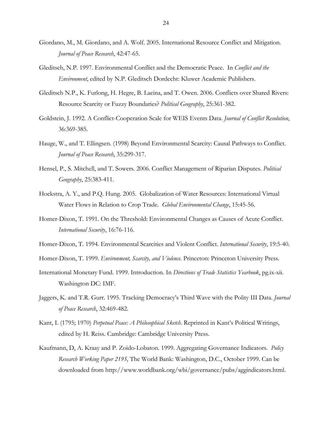- Giordano, M., M. Giordano, and A. Wolf. 2005. International Resource Conflict and Mitigation. *Journal of Peace Research*, 42:47-65.
- Gleditsch, N.P. 1997. Environmental Conflict and the Democratic Peace. In *Conflict and the Environment*, edited by N.P. Gleditsch Dordecht: Kluwer Academic Publishers.
- Gleditsch N.P., K. Furlong, H. Hegre, B. Lacina, and T. Owen. 2006. Conflicts over Shared Rivers: Resource Scarcity or Fuzzy Boundaries? *Political Geography*, 25:361-382.
- Goldstein, J. 1992. A Conflict-Cooperation Scale for WEIS Events Data. *Journal of Conflict Resolution*, 36:369-385.
- Hauge, W., and T. Ellingsen. (1998) Beyond Environmental Scarcity: Causal Pathways to Conflict. *Journal of Peace Research*, 35:299-317.
- Hensel, P., S. Mitchell, and T. Sowers. 2006. Conflict Management of Riparian Disputes. *Political Geography*, 25:383-411.
- Hoekstra, A. Y., and P.Q. Hung. 2005. Globalization of Water Resources: International Virtual Water Flows in Relation to Crop Trade. *Global Environmental Change*, 15:45-56.
- Homer-Dixon, T. 1991. On the Threshold: Environmental Changes as Causes of Acute Conflict. *International Security*, 16:76-116.
- Homer-Dixon, T. 1994. Environmental Scarcities and Violent Conflict. *International Security*, 19:5-40.
- Homer-Dixon, T. 1999. *Environment, Scarcity, and Violence*. Princeton: Princeton University Press.
- International Monetary Fund. 1999. Introduction. In *Directions of Trade Statistics Yearbook*, pg.ix-xii. Washington DC: IMF.
- Jaggers, K. and T.R. Gurr. 1995. Tracking Democracy's Third Wave with the Polity III Data. *Journal of Peace Research*, 32:469-482.
- Kant, I. (1795; 1970) *Perpetual Peace: A Philosophical Sketch*. Reprinted in Kant's Political Writings, edited by H. Reiss. Cambridge: Cambridge University Press.
- Kaufmann, D, A. Kraay and P. Zoido-Lobaton. 1999. Aggregating Governance Indicators. *Policy Research Working Paper 2195*, The World Bank: Washington, D.C., October 1999. Can be downloaded from http://www.worldbank.org/wbi/governance/pubs/aggindicators.html.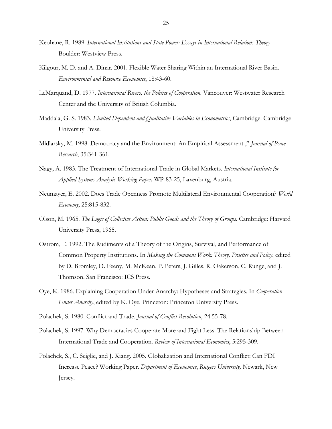- Keohane, R. 1989. *International Institutions and State Power: Essays in International Relations Theory* Boulder: Westview Press.
- Kilgour, M. D. and A. Dinar. 2001. Flexible Water Sharing Within an International River Basin. *Environmental and Resource Economics*, 18:43-60.
- LeMarquand, D. 1977. *International Rivers, the Politics of Cooperation*. Vancouver: Westwater Research Center and the University of British Columbia.
- Maddala, G. S. 1983. *Limited Dependent and Qualitative Variables in Econometrics*, Cambridge: Cambridge University Press.
- Midlarsky, M. 1998. Democracy and the Environment: An Empirical Assessment ," *Journal of Peace Research*, 35:341-361.
- Nagy, A. 1983. The Treatment of International Trade in Global Markets. *International Institute for Applied Systems Analysis Working Paper,* WP-83-25, Laxenburg, Austria.
- Neumayer, E. 2002. Does Trade Openness Promote Multilateral Environmental Cooperation? *World Economy*, 25:815-832.
- Olson, M. 1965. *The Logic of Collective Action: Public Goods and the Theory of Groups*. Cambridge: Harvard University Press, 1965.
- Ostrom, E. 1992. The Rudiments of a Theory of the Origins, Survival, and Performance of Common Property Institutions. In *Making the Commons Work: Theory, Practice and Policy*, edited by D. Bromley, D. Feeny, M. McKean, P. Peters, J. Gilles, R. Oakerson, C. Runge, and J. Thomson. San Francisco: ICS Press.
- Oye, K. 1986. Explaining Cooperation Under Anarchy: Hypotheses and Strategies. In *Cooperation Under Anarchy*, edited by K. Oye. Princeton: Princeton University Press.
- Polachek, S. 1980. Conflict and Trade. *Journal of Conflict Resolution*, 24:55-78.
- Polachek, S. 1997. Why Democracies Cooperate More and Fight Less: The Relationship Between International Trade and Cooperation. *Review of International Economics*, 5:295-309.
- Polachek, S., C. Seiglie, and J. Xiang. 2005. Globalization and International Conflict: Can FDI Increase Peace? Working Paper. *Department of Economics*, *Rutgers University,* Newark, New Jersey.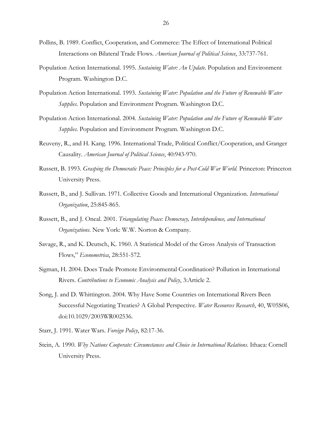- Pollins, B. 1989. Conflict, Cooperation, and Commerce: The Effect of International Political Interactions on Bilateral Trade Flows. *American Journal of Political Science*, 33:737-761.
- Population Action International. 1995. *Sustaining Water: An Update*. Population and Environment Program. Washington D.C.
- Population Action International. 1993. *Sustaining Water: Population and the Future of Renewable Water Supplies*. Population and Environment Program. Washington D.C.
- Population Action International. 2004. *Sustaining Water: Population and the Future of Renewable Water Supplies*. Population and Environment Program. Washington D.C.
- Reuveny, R., and H. Kang. 1996. International Trade, Political Conflict/Cooperation, and Granger Causality. *American Journal of Political Science*, 40:943-970.
- Russett, B. 1993. *Grasping the Democratic Peace: Principles for a Post-Cold War World.* Princeton: Princeton University Press.
- Russett, B., and J. Sullivan. 1971. Collective Goods and International Organization. *International Organization*, 25:845-865.
- Russett, B., and J. Oneal. 2001. *Triangulating Peace: Democracy, Interdependence, and International Organizations*. New York: W.W. Norton & Company.
- Savage, R., and K. Deutsch, K. 1960. A Statistical Model of the Gross Analysis of Transaction Flows," *Econometrica*, 28:551-572.
- Sigman, H. 2004. Does Trade Promote Environmental Coordination? Pollution in International Rivers. *Contributions to Economic Analysis and Policy*, 3:Article 2.
- Song, J. and D. Whittington. 2004. Why Have Some Countries on International Rivers Been Successful Negotiating Treaties? A Global Perspective. *Water Resources Research*, 40, W05S06, doi:10.1029/2003WR002536.
- Starr, J. 1991. Water Wars. *Foreign Policy*, 82:17-36.
- Stein, A. 1990. *Why Nations Cooperate: Circumstances and Choice in International Relations*. Ithaca: Cornell University Press.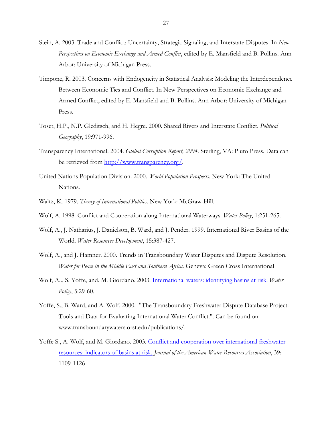- Stein, A. 2003. Trade and Conflict: Uncertainty, Strategic Signaling, and Interstate Disputes. In *New Perspectives on Economic Exchange and Armed Conflict*, edited by E. Mansfield and B. Pollins. Ann Arbor: University of Michigan Press.
- Timpone, R. 2003. Concerns with Endogeneity in Statistical Analysis: Modeling the Interdependence Between Economic Ties and Conflict. In New Perspectives on Economic Exchange and Armed Conflict, edited by E. Mansfield and B. Pollins. Ann Arbor: University of Michigan Press.
- Toset, H.P., N.P. Gleditsch, and H. Hegre. 2000. Shared Rivers and Interstate Conflict. *Political Geography*, 19:971-996.
- Transparency International. 2004. *Global Corruption Report, 2004*. Sterling, VA: Pluto Press. Data can be retrieved from [http://www.transparency.org/.](http://www.transparency.org/)
- United Nations Population Division. 2000. *World Population Prospects*. New York: The United Nations.
- Waltz, K. 1979. *Theory of International Politics*. New York: McGraw-Hill.
- Wolf, A. 1998. Conflict and Cooperation along International Waterways. *Water Policy*, 1:251-265.
- Wolf, A., J. Natharius, J. Danielson, B. Ward, and J. Pender. 1999. International River Basins of the World. *Water Resources Development*, 15:387-427.
- Wolf, A., and J. Hamner. 2000. Trends in Transboundary Water Disputes and Dispute Resolution. *Water for Peace in the Middle East and Southern Africa*. Geneva: Green Cross International
- Wolf, A.., S. Yoffe, and. M. Giordano. 2003. [International waters: identifying basins at risk.](http://www.transboundarywaters.orst.edu/publications/Wolf_et_al_Water_Policy_BAR.pdf) *Water Policy*, 5:29-60.
- Yoffe, S., B. Ward, and A. Wolf. 2000. "The Transboundary Freshwater Dispute Database Project: Tools and Data for Evaluating International Water Conflict.". Can be found on www.transboundarywaters.orst.edu/publications/.
- Yoffe S., A. Wolf, and M. Giordano. 2003. [Conflict and cooperation over international freshwater](http://www.transboundarywaters.orst.edu/publications/Yoffe_Wolf_Giordano.pdf)  [resources: indicators of basins at risk.](http://www.transboundarywaters.orst.edu/publications/Yoffe_Wolf_Giordano.pdf) *Journal of the American Water Resources Association*, 39: 1109-1126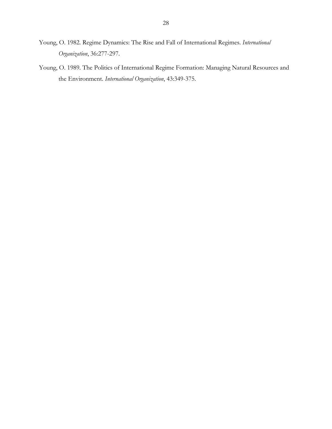- Young, O. 1982. Regime Dynamics: The Rise and Fall of International Regimes. *International Organization*, 36:277-297.
- Young, O. 1989. The Politics of International Regime Formation: Managing Natural Resources and the Environment. *International Organization*, 43:349-375.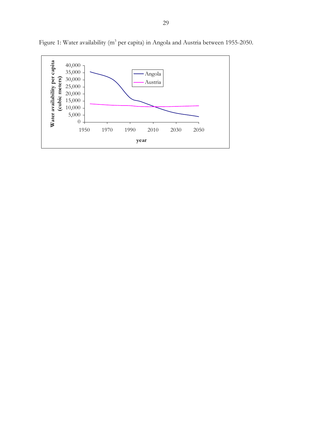

Figure 1: Water availability ( $m^3$  per capita) in Angola and Austria between 1955-2050.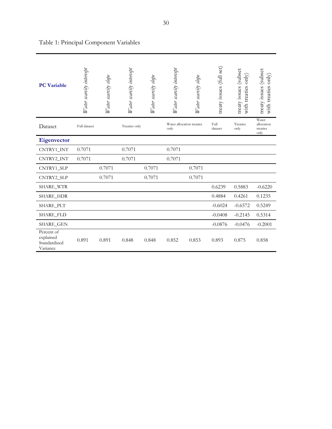# Table 1: Principal Component Variables

| <b>PC</b> Variable                                  | Water scarcity intercept | Water scarcity slope | Water scarcity intercept | Water scarcity slope | Water scarcity intercept          | Water scarcity slope | (full set)<br>treaty issues | treaty issues (subset<br>$\overrightarrow{\mathrm{only}}$<br>with treaties | treaty issues (subset<br>$\overrightarrow{\text{only}}$<br>with treaties |
|-----------------------------------------------------|--------------------------|----------------------|--------------------------|----------------------|-----------------------------------|----------------------|-----------------------------|----------------------------------------------------------------------------|--------------------------------------------------------------------------|
| Dataset                                             | Full dataset             |                      | Treaties only            |                      | Water allocation treaties<br>only |                      | Full<br>dataset             | Treaties<br>only                                                           | Water<br>allocation<br>treaties<br>only                                  |
| <b>Eigenvector</b>                                  |                          |                      |                          |                      |                                   |                      |                             |                                                                            |                                                                          |
| CNTRY1_INT                                          | 0.7071                   |                      | 0.7071                   |                      | 0.7071                            |                      |                             |                                                                            |                                                                          |
| CNTRY2_INT                                          | 0.7071                   |                      | 0.7071                   |                      | 0.7071                            |                      |                             |                                                                            |                                                                          |
| CNTRY1 SLP                                          |                          | 0.7071               |                          | 0.7071               |                                   | 0.7071               |                             |                                                                            |                                                                          |
| <b>CNTRY2_SLP</b>                                   |                          | 0.7071               |                          | 0.7071               |                                   | 0.7071               |                             |                                                                            |                                                                          |
| SHARE_WTR                                           |                          |                      |                          |                      |                                   |                      | 0.6239                      | 0.5883                                                                     | $-0.6220$                                                                |
| <b>SHARE HDR</b>                                    |                          |                      |                          |                      |                                   |                      | 0.4884                      | 0.4261                                                                     | 0.1235                                                                   |
| SHARE_PLT                                           |                          |                      |                          |                      |                                   |                      | $-0.6024$                   | $-0.6572$                                                                  | 0.5249                                                                   |
| <b>SHARE FLD</b>                                    |                          |                      |                          |                      |                                   |                      | $-0.0408$                   | $-0.2145$                                                                  | 0.5314                                                                   |
| <b>SHARE GEN</b>                                    |                          |                      |                          |                      |                                   |                      | $-0.0876$                   | $-0.0476$                                                                  | $-0.2001$                                                                |
| Percent of<br>explained<br>Standardized<br>Variance | 0.891                    | 0.891                | 0.848                    | 0.848                | 0.852                             | 0.853                | 0.893                       | 0.875                                                                      | 0.858                                                                    |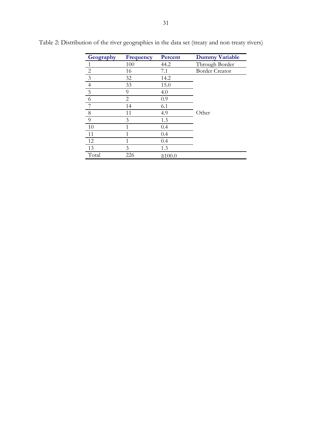| Geography                | Frequency | Percent         | <b>Dummy Variable</b> |
|--------------------------|-----------|-----------------|-----------------------|
|                          | 100       | 44.2            | Through Border        |
| $\overline{2}$           | 16        | 7.1             | <b>Border Creator</b> |
| $\mathfrak{Z}$           | 32        | 14.2            |                       |
| $\overline{4}$           | 33        | 15.0            |                       |
| $\overline{\phantom{0}}$ | 9         | 4.0             |                       |
| 6                        | 2         | 0.9             |                       |
|                          | 14        | 6.1             |                       |
| 8                        | 11        | 4.9             | Other                 |
| $\overline{Q}$           | 3         | 1.3             |                       |
| 10                       |           | 0.4             |                       |
| 11                       | 1         | 0.4             |                       |
| 12                       |           | 0.4             |                       |
| 13                       | 3         | 1.3             |                       |
| Total                    | 226       | $\approx 100.0$ |                       |

Table 2: Distribution of the river geographies in the data set (treaty and non treaty rivers)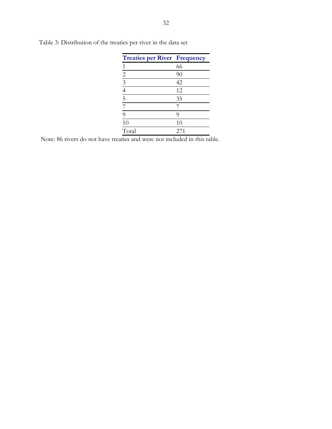| <b>Treaties per River Frequency</b> |     |
|-------------------------------------|-----|
|                                     | 66  |
| $\overline{c}$                      | 90  |
| $\overline{3}$                      | 42  |
| $\overline{\mathcal{L}}$            | 12  |
| 5                                   | 35  |
| 7                                   |     |
| 9                                   | 9   |
| 10                                  | 10  |
| Total                               | 271 |

Table 3: Distribution of the treaties per river in the data set

Note: 86 rivers do not have treaties and were not included in this table.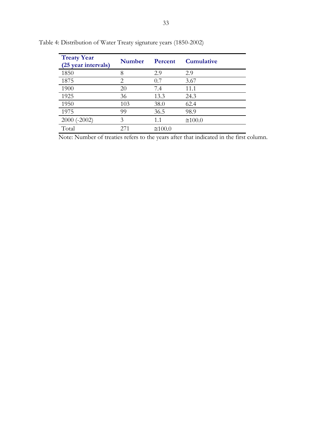| <b>Treaty Year</b><br>(25 year intervals) | Number | Percent         | Cumulative      |
|-------------------------------------------|--------|-----------------|-----------------|
| 1850                                      | 8      | 2.9             | 2.9             |
| 1875                                      | 2      | 0.7             | 3.67            |
| 1900                                      | 20     | 7.4             | 11.1            |
| 1925                                      | 36     | 13.3            | 24.3            |
| 1950                                      | 103    | 38.0            | 62.4            |
| 1975                                      | 99     | 36.5            | 98.9            |
| $(-2002)$<br><b>2000</b> (                | 3      | 1.1             | $\approx 100.0$ |
| Total                                     | 271    | $\approx 100.0$ |                 |

Table 4: Distribution of Water Treaty signature years (1850-2002)

Note: Number of treaties refers to the years after that indicated in the first column.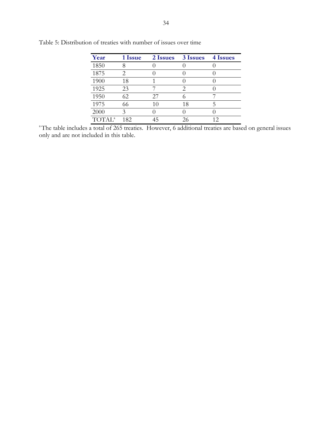| Year               | 1 Issue | 2 Issues | 3 Issues | 4 Issues |
|--------------------|---------|----------|----------|----------|
| 1850               | 8       |          |          |          |
| 1875               | 2       |          |          |          |
| 1900               | 18      |          |          |          |
| 1925               | 23      |          |          |          |
| 1950               | 62      | 27       |          |          |
| 1975               | 66      | 10       | 18       |          |
| 2000               | 3       |          |          |          |
| TOTAL <sup>a</sup> | 182     | 45       |          | 12       |

Table 5: Distribution of treaties with number of issues over time

 $\frac{12}{100}$  TOTAL<sup>a</sup> 182 45 26 12<br><sup>a</sup> The table includes a total of 265 treaties. However, 6 additional treaties are based on general issues only and are not included in this table.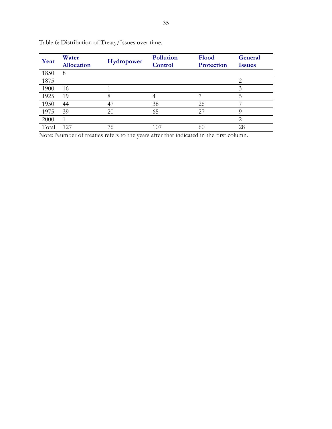| Year  | Water<br><b>Allocation</b> | Hydropower | <b>Pollution</b><br><b>Control</b> | Flood<br>Protection | General<br><b>Issues</b> |
|-------|----------------------------|------------|------------------------------------|---------------------|--------------------------|
| 1850  | 8                          |            |                                    |                     |                          |
| 1875  |                            |            |                                    |                     | ◠                        |
| 1900  | 16                         |            |                                    |                     |                          |
| 1925  | 19                         |            |                                    |                     | 5                        |
| 1950  | 44                         | 47         | 38                                 | 26                  |                          |
| 1975  | 39                         | 20         | 65                                 | 27                  |                          |
| 2000  |                            |            |                                    |                     | ⌒                        |
| Total | 127                        | 76         | 107                                | 60                  | 28                       |

Table 6: Distribution of Treaty/Issues over time.

Note: Number of treaties refers to the years after that indicated in the first column.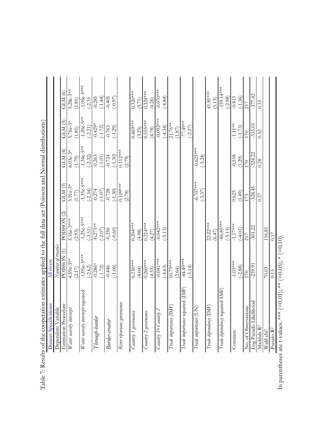| its of the cooperation estimates applied to the full data set (Poisson and Normal distributions) |                        |                        |                          |                          |              |               |
|--------------------------------------------------------------------------------------------------|------------------------|------------------------|--------------------------|--------------------------|--------------|---------------|
| Dataset Specifications                                                                           | All rivers             |                        |                          |                          |              |               |
| Dependent Variable                                                                               | Number of treaties     |                        |                          |                          |              |               |
| Estimation Procedure                                                                             | POISSON <sup>(1)</sup> | POISSON <sup>(2)</sup> | GIM(3)                   | GLM (4)                  | GIM(5)       | GLM(6)        |
| Water scarcity intercept                                                                         | $4.59e-3**$            | $5.16e-3***$           | $5.91e-3*$               | $5.03e-3*$               | $5.76e-3*$   | $5.28e-3**$   |
|                                                                                                  | (2.17)                 | (2.93)                 | (1.77)                   | (1.79)                   | (1.81)       | (1.81)        |
| Water scarcity intercept squared                                                                 | $-1.05e-5***$          | $-1.25e-5***$          | $-1.35e-5***$            | $-1.34e-5**$             | $-1.20e-5**$ | $-1.05e-5***$ |
|                                                                                                  | $(-2.62)$              | $(-3.51)$              | $(-2.34)$                | $(-2.32)$                | $(-2.21)$    | $(-2.35)$     |
| Through-border                                                                                   | $-0.286*$              | $-0.275**$             | $-0.274$                 | $-0.263$                 | $-0.429*$    | $-0.285$      |
|                                                                                                  | $(-1.72)$              | $(-2.07)$              | $(-1.07)$                | $\frac{(-1.01)}{-0.724}$ | $(-1.72)$    | $(-1.44)$     |
| Border-creator                                                                                   | $-0.446$               | $-0.250$               | $-0.728$                 |                          | $-0.763$     | $-0.405$      |
|                                                                                                  | $(-1.06)$              | $(-0.60)$              | $(-1.30)$                | $(-1.30)$                | $(-1.29)$    | $(-0.97)$     |
| River riparians governance                                                                       |                        |                        | $0.109***$               | $0.112***$               |              |               |
|                                                                                                  |                        |                        | (2.78)                   | (2.79)                   |              |               |
| Country 1 governance                                                                             | $0.230***$             | $0.204***$             |                          |                          | $0.469***$   | $0.320***$    |
|                                                                                                  | (4.04)                 | (4.98)                 |                          |                          | (3.25)       | (3.71)        |
| Country 2 governance                                                                             | $0.260***$             | $0.214***$             |                          |                          | $0.555***$   | $0.324***$    |
|                                                                                                  | (4.33)                 | (4.27)                 |                          |                          | (4.78)       | (4.26)        |
| Country 1× Country 2                                                                             | $-0.041***$            | $-0.042**$             |                          |                          | $-0.092***$  | $-0.070$ ***  |
|                                                                                                  | $(-4.63)$              | $(-5.13)$              |                          |                          | $(-4.34)$    | $(-4.84)$     |
| Trade importance (IMF)                                                                           | 10.79**                |                        |                          |                          | $21.76***$   |               |
|                                                                                                  | (2.64)                 |                        |                          |                          | (1.87)       |               |
| Trade importance squared (IMF)                                                                   | $-44.49***$            |                        |                          |                          | $-77.49**$   |               |
|                                                                                                  | $(-3.14)$              |                        |                          |                          | $(-2.27)$    |               |
| Trade importance (UN)                                                                            |                        |                        | $-6.707***$<br>$(-3.37)$ | $-0.625***$<br>$(-3.24)$ |              |               |
| Trade dependency (IMF)                                                                           |                        | $22.22***$             |                          |                          |              | 41.81***      |
|                                                                                                  |                        | (6.47)                 |                          |                          |              | (3.13)        |
| Trade dependency squared (IMF)                                                                   |                        | $-86.85***$            |                          |                          |              | $-159.14***$  |
|                                                                                                  |                        | $(-5.13)$              |                          |                          |              | $(-2.98)$     |
| Constant                                                                                         | $-1.03***$             | $-1.17***$             | 0.625                    | $-0.558$                 | $-1.11**$    | $-0.813$      |
|                                                                                                  | $(-2.88)$              | $(-4.01)$              | (1.49)                   | (1.29)                   | $(-1.73)$    | $(-1.36)$     |
| No. of Observations                                                                              | 170                    | 217                    | 173                      | 170                      | 170          | 217           |
| Log Pseudo Likelihood                                                                            | $-259.91$              | $-301.22$              | $-328.45$                | $-324.22$                | $-335.01$    | $-377.42$     |
| Maddala R <sup>2</sup>                                                                           |                        |                        | 0.27                     | 0.28                     | 0.32         | 0.33          |
| Wald chi <sup>2</sup>                                                                            | 70.03                  | 116.81                 |                          |                          |              |               |
| Pseudo R <sup>2</sup>                                                                            | 0.13                   | 0.17                   |                          |                          |              |               |
| are t_traines *** /=0.01\, *** /=0.05\, * /=0.10\                                                |                        |                        |                          |                          |              |               |

Table 7: Results of the cooperation estimates applied to the full data set (Poisson and Normal distributions) al distribi  $-611$ plied t  $\mathbf{r}$ Table 7: Result

In parentheses are t-values. \*\*\* (=0.01); \* (=0.05); \* (=0.10). In parentheses are t-values. \*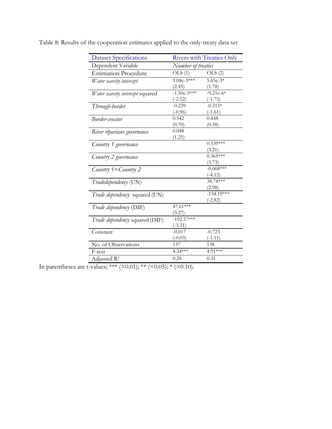| <b>Dataset Specifications</b>         |                    | <b>Rivers with Treaties Only</b> |
|---------------------------------------|--------------------|----------------------------------|
| Dependent Variable                    | Number of treaties |                                  |
| <b>Estimation Procedure</b>           | OLS(1)             | OLS(2)                           |
| Water scarcity intercept              | $9.08e-3***$       | $5.65e-3*$                       |
|                                       | (2.45)             | (1.78)                           |
| Water scarcity intercept squared      | $-1.50e-5***$      | $-9.21e-6*$                      |
|                                       | $(-2.52)$          | $(-1.75)$                        |
| Through-border                        | $-0.239$           | $-0.315*$                        |
|                                       | $(-0.96)$          | $(-1.61)$                        |
| Border-creator                        | 0.542              | 0.448                            |
|                                       | (0.70)             | (0.58)                           |
| River riparians governance            | 0.048              |                                  |
|                                       | (1.25)             |                                  |
| Country 1 governance                  |                    | $0.339***$                       |
|                                       |                    | (3.21)                           |
| Country 2 governance                  |                    | $0.365***$                       |
|                                       |                    | (3.73)                           |
| Country 1× Country 2                  |                    | $-0.068***$                      |
|                                       |                    | $(-4.12)$                        |
| Tradedependency (UN)                  |                    | 38.74***                         |
|                                       |                    | (2.98)                           |
| Trade dependency squared (UN)         |                    | $-134.19***$                     |
|                                       |                    | $(-2.82)$                        |
| Trade dependency (IMF)                | $47.61***$         |                                  |
|                                       | (3.27)             |                                  |
| <i>Trade dependency</i> squared (IMF) | $-192.57***$       |                                  |
|                                       | $(-3.31)$          |                                  |
| Constant                              | $-0.017$           | $-0.723$                         |
|                                       | $(-0.03)$          | $(-1.11)$                        |
| No. of Observations                   | 137                | 138                              |
| F-test                                | 4.34***            | 4.91***                          |
| Adjusted R <sup>2</sup>               | 0.28               | 0.31                             |

Table 8: Results of the cooperation estimates applied to the only-treaty data set

In parentheses are t-values; \*\*\*  $(=0.01)$ ; \*\*  $(=0.05)$ ; \*  $(=0.10)$ .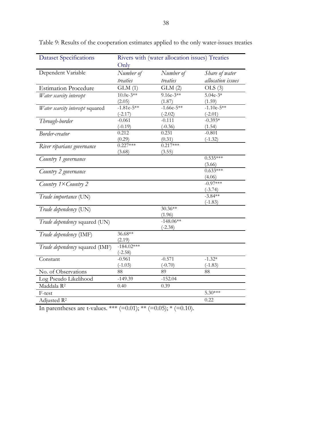| <b>Dataset Specifications</b>    | Only                      | Rivers with (water allocation issues) Treaties |                                     |
|----------------------------------|---------------------------|------------------------------------------------|-------------------------------------|
| Dependent Variable               | Number of<br>treaties     | Number of<br>treaties                          | Share of water<br>allocation issues |
| <b>Estimation Procedure</b>      | GLM(1)                    | GLM(2)                                         | OLS(3)                              |
| Water scarcity intercept         | $10.0e-3**$<br>(2.05)     | $9.16e-3**$<br>(1.87)                          | $5.04e-3*$<br>(1.59)                |
| Water scarcity intercept squared | $-1.81e-5**$<br>$(-2.17)$ | $-1.66e-5**$<br>$(-2.02)$                      | $-1.10e-5**$<br>$(-2.01)$           |
| Through-border                   | $-0.061$<br>$(-0.19)$     | $-0.111$<br>$(-0.36)$                          | $-0.393*$<br>(1.54)                 |
| Border-creator                   | 0.212<br>(0.29)           | 0.231<br>(0.31)                                | $-0.801$<br>$(-1.32)$               |
| River riparians governance       | $0.227***$<br>(3.68)      | $0.217***$<br>(3.55)                           |                                     |
| Country 1 governance             |                           |                                                | $0.535***$<br>(3.66)                |
| Country 2 governance             |                           |                                                | $0.633***$<br>(4.06)                |
| Country 1× Country 2             |                           |                                                | $-0.97***$<br>$(-3.74)$             |
| Trade importance (UN)            |                           |                                                | $-3.84**$<br>$(-1.83)$              |
| Trade dependency (UN)            |                           | $30.36**$<br>(1.96)                            |                                     |
| Trade dependency squared (UN)    |                           | $-148.06**$<br>$(-2.38)$                       |                                     |
| Trade dependency (IMF)           | 36.68**<br>(2.19)         |                                                |                                     |
| Trade dependency squared (IMF)   | $-184.02***$<br>$(-2.58)$ |                                                |                                     |
| Constant                         | $-0.961$<br>$(-1.03)$     | $-0.571$<br>$(-0.70)$                          | $-1.32*$<br>$(-1.83)$               |
| No. of Observations              | 88                        | 89                                             | 88                                  |
| Log Pseudo Likelihood            | $-149.39$                 | $-152.04$                                      |                                     |
| Maddala R <sup>2</sup>           | 0.40                      | 0.39                                           |                                     |
| F-test                           |                           |                                                | $5.30***$                           |
| Adjusted R <sup>2</sup>          |                           |                                                | 0.22                                |

Table 9: Results of the cooperation estimates applied to the only water-issues treaties

In parentheses are t-values. \*\*\* (=0.01); \*\* (=0.05); \* (=0.10).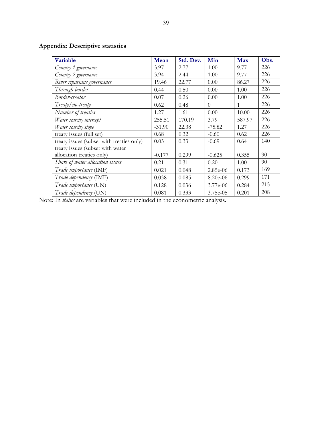| Variable                                  | Mean     | Std. Dev. | Min        | <b>Max</b> | Obs. |
|-------------------------------------------|----------|-----------|------------|------------|------|
| Country 1 governance                      | 3.97     | 2.77      | 1.00       | 9.77       | 226  |
| Country 2 governance                      | 3.94     | 2.44      | 1.00       | 9.77       | 226  |
| River riparians governance                | 19.46    | 22.77     | 0.00       | 86.27      | 226  |
| Through-border                            | 0.44     | 0.50      | 0.00       | 1.00       | 226  |
| Border-creator                            | 0.07     | 0.26      | 0.00       | 1.00       | 226  |
| Treaty/no-treaty                          | 0.62     | 0.48      | $\Omega$   | 1          | 226  |
| Number of treaties                        | 1.27     | 1.61      | 0.00       | 10.00      | 226  |
| Water scarcity intercept                  | 255.51   | 170.19    | 3.79       | 587.97     | 226  |
| Water scarcity slope                      | $-31.90$ | 22.38     | $-75.82$   | 1.27       | 226  |
| treaty issues (full set)                  | 0.68     | 0.32      | $-0.60$    | 0.62       | 226  |
| treaty issues (subset with treaties only) | 0.03     | 0.33      | $-0.69$    | 0.64       | 140  |
| treaty issues (subset with water          |          |           |            |            |      |
| allocation treaties only)                 | $-0.177$ | 0.299     | $-0.625$   | 0.355      | 90   |
| Share of water allocation issues          | 0.21     | 0.31      | 0.20       | 1.00       | 90   |
| Trade <i>importance</i> (IMF)             | 0.021    | 0.048     | $2.85e-06$ | 0.173      | 169  |
| Trade dependency (IMF)                    | 0.038    | 0.085     | 8.20e-06   | 0.299      | 171  |
| Trade <i>importance</i> (UN)              | 0.128    | 0.036     | 3.77e-06   | 0.284      | 215  |
| <i>Trade dependency</i> (UN)              | 0.081    | 0.333     | 3.75e-05   | 0.201      | 208  |

# **Appendix: Descriptive statistics**

Note: In *italics* are variables that were included in the econometric analysis.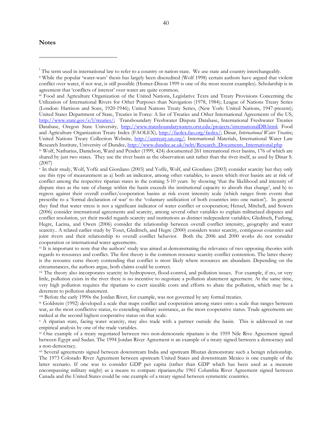### **Notes**

 $\overline{a}$ 

v In their study, Wolf, Yoffe and Giordano (2003) and Yoffe, Wolf, and Giordano (2003) consider scarcity but they only use this type of measurement as a) both an indicator, among other variables, to assess which river basins are at risk of conflict among the respective riparian states in the coming 5-10 years by showing 'that the likelihood and intensity of dispute rises as the rate of change within the basin exceeds the institutional capacity to absorb that change', and b) to regress against their overall conflict/cooperation basins at risk event intensity scale (which ranges from events that prescribe to a 'formal declaration of war' to the 'voluntary unification of both countries into one nation'). In general they find that water stress is not a significant indicator of water conflict or cooperation; Hensel, Mitchell, and Sowers (2006) consider international agreements and scarcity, among several other variables to explain militarized disputes and conflict resolution, yet their model regards scarcity and institutions as distinct independent variables; Gleditsch, Furlong, Hegre, Lacina, and Owen (2006) consider the relationship between overall conflict intensity, geography and water scarcity.. A related earlier study by Toset, Gleditsch, and Hegre (2000) considers water scarcity, contiguous countries and joint rivers and their relationship to overall conflict behavior. Both the 2006 and 2000 works do not consider cooperation or international water agreements.

vi It is important to note that the authors' study was aimed at demonstrating the relevance of two opposing theories with regards to resources and conflict. The first theory is the common resource scarcity conflict contention. The latter theory is the resource curse theory contending that conflict is most likely where resources are abundant. Depending on the circumstances, the authors argue, both claims could be correct.

vii The theory also incorporates scarcity in hydropower, flood-control, and pollution issues. For example, if no, or very little, pollution exists in the river there is no incentive to negotiate a pollution abatement agreement. At the same time, very high pollution requires the riparians to exert sizeable costs and efforts to abate the pollution, which may be a deterrent to pollution abatement.

viii Before the early 1990s the Jordan River, for example, was not governed by any formal treaties.<br><sup>ix</sup> Goldstein (1992) developed a scale that maps conflict and cooperation among states onto a scale that ranges between

war, as the most conflictive status, to extending military assistance, as the most cooperative status. Trade agreements are ranked at the second highest cooperative status on that scale.<br>x A riparian state, facing water scarcity, may also trade with a partner outside the basin. This is addressed in our

empirical analysis by one of the trade variables.

xi One example of a treaty negotiated between two non-democratic riparians is the 1959 Nile Rive Agreement signed between Egypt and Sudan. The 1994 Jordan River Agreement is an example of a treaty signed between a democracy and a non-democracy.

xii Several agreements signed between downstream India and upstream Bhutan demonstrate such a benign relationship. The 1973 Colorado River Agreement between upstream United States and downstream Mexico is one example of the latter scenario. If one was to consider GDP per capita (rather than GDP which has been used as a measure encompassing military might) as a means to compare riparians,the 1961 Columbia River Agreement signed between Canada and the United States could be one example of a treaty signed between symmetric countries.

<sup>&</sup>lt;sup>i</sup> The term used in international law to refer to a country or nation-state. We use state and country interchangeably.

ii While the popular 'water-wars' thesis has largely been discredited (Wolf 1998) certain authors have argued that violent conflict over water, if not war, is still possible (Homer-Dixon 1999 is one of the most recent examples). Scholarship is in agreement that 'conflicts of interest' over water are quite common.

iii Food and Agriculture Organization of the United Nations, Legislative Texts and Treaty Provisions Concerning the Utilization of International Rivers for Other Purposes than Navigation (1978, 1984); League of Nations Treaty Series (London: Harrison and Sons, 1920-1946); United Nations Treaty Series, (New York: United Nations, 1947-present); United States Department of State, Treaties in Force: A list of Treaties and Other International Agreements of the US, [http://www.state.gov/s/l/treaties/;](http://www.state.gov/s/l/treaties/) Transboundary Freshwater Dispute Database, International Freshwater Treaties Database, Oregon State University, <http://www.transboundarywaters.orst.edu/projects/internationalDB.html>; Food and Agriculture Organization Treaty Index (FAOLEX), [http://faolex.fao.org/faolex/;](http://faolex.fao.org/faolex/) Dinar, *International Water Treatie*s; United Nations Treaty Collection Website, <http://untreaty.un.org/>; International Materials, International Water Law<br>Research Institute, University of Dundee, http://www.dundee.ac.uk/iwlri/Research Documents International.p

iv Wolf, Natharius, Danielson, Ward and Pender (1999, 424) documented 261 international river basins, 176 of which are shared by just two states. They use the river basin as the observation unit rather than the river itself, as used by Dinar S. (2007)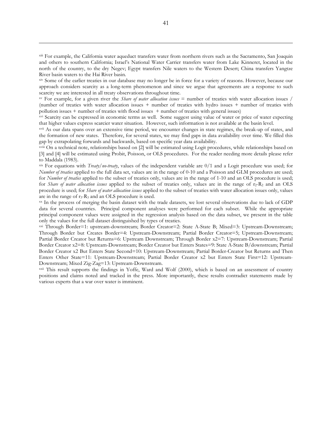xiii For example, the California water aqueduct transfers water from northern rivers such as the Sacramento, San Joaquin and others to southern California; Israel's National Water Carrier transfers water from Lake Kinneret, located in the north of the country, to the dry Negev; Egypt transfers Nile waters to the Western Desert; China transfers Yangtze River basin waters to the Hai River basin.

<span id="page-44-0"></span>xiv Some of the earlier treaties in our database may no longer be in force for a variety of reasons. However, because our approach considers scarcity as a long-term phenomenon and since we argue that agreements are a response to such scarcity we are interested in all treaty observations throughout time.

xv For example, for a given river the *Share of water allocation issues* = number of treaties with water allocation issues / (number of treaties with water allocation issues  $+$  number of treaties with hydro issues  $+$  number of treaties with pollution issues  $+$  number of treaties with flood issues  $+$  number of treaties with general issues)

<sup>xvi</sup> Scarcity can be expressed in economic terms as well. Some suggest using value of water or price of water expecting that higher values express scarcier water situation. However, such information is not available at the basin level.<br><sup>xvii</sup> As our data spans over an extensive time period, we encounter changes in state regimes, the break-u

the formation of new states. Therefore, for several states, we may find gaps in data availability over time. We filled this gap by extrapolating forwards and backwards, based on specific year data availability.

 $x^{\text{viii}}$  On a technical note, relationships based on [2] will be estimated using Logit procedures, while relationships based on [3] and [4] will be estimated using Probit, Poisson, or OLS procedures. For the reader needing more details please refer to Maddala (1983).

xix For equations with *Treaty/no-treaty*, values of the independent variable are 0/1 and a Logit procedure was used; for *Number of treaties* applied to the full data set, values are in the range of 0-10 and a Poisson and GLM procedures are used; for *Number of treaties* applied to the subset of treaties only, values are in the range of 1-10 and an OLS procedure is used; for *Share of water allocation issues* applied to the subset of treaties only, values are in the range of r<sub>2</sub>-R<sub>2</sub> and an OLS procedure is used; for *Share of water allocation issues* applied to the subset of treaties with water allocation issues only, values

<sup>xx</sup> In the process of merging the basin dataset with the trade datasets, we lost several observations due to lack of GDP data for several countries. Principal component analyses were performed for each subset. While the appropriate principal component values were assigned in the regression analysis based on the data subset, we present in the table only the values for the full dataset distinguished by types of treaties.

xxi Through Border=1: upstream-downstream; Border Creator=2: State A-State B; Mixed=3: Upstream-Downstream; Through Border but Creates Border=4: Upstream-Downstream; Partial Border Creator=5; Upstream-Downstream; Partial Border Creator but Returns=6: Upstream Downstream; Through Border x2=7: Upstream-Downstream; Partial Border Creator x2=8: Upstream-Downstream; Border Creator but Enters States=9: State A-State B/downstream; Partial Border Creator x2 But Enters State Second=10: Upstream-Downstream; Partial Border-Creator but Returns and Then Enters Other State=11: Upstream-Downstream; Partial Border Creator x2 but Enters State First=12: Upstream-Downstream; Mixed Zig-Zag=13: Upstream-Downstream.

xxii This result supports the findings in Yoffe, Ward and Wolf (2000), which is based on an assessment of country positions and claims noted and tracked in the press. More importantly, these results contradict statements made by various experts that a war over water is imminent.

<span id="page-44-1"></span> $\overline{a}$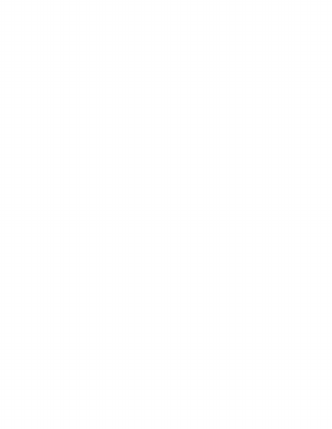$\frac{1}{2}$  ,  $\frac{1}{2}$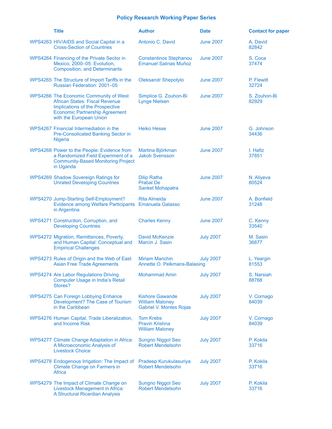## **Policy Research Working Paper Series**

| <b>Title</b>                                                                                                                                                                           | <b>Author</b>                                                                      | <b>Date</b>      | <b>Contact for paper</b> |
|----------------------------------------------------------------------------------------------------------------------------------------------------------------------------------------|------------------------------------------------------------------------------------|------------------|--------------------------|
| WPS4263 HIV/AIDS and Social Capital in a<br><b>Cross-Section of Countries</b>                                                                                                          | Antonio C. David                                                                   | <b>June 2007</b> | A. David<br>82842        |
| WPS4264 Financing of the Private Sector in<br>Mexico, 2000-05: Evolution,<br><b>Composition, and Determinants</b>                                                                      | <b>Constantinos Stephanou</b><br><b>Emanuel Salinas Muñoz</b>                      | <b>June 2007</b> | S. Coca<br>37474         |
| WPS4265 The Structure of Import Tariffs in the<br>Russian Federation: 2001-05                                                                                                          | <b>Oleksandr Shepotylo</b>                                                         | <b>June 2007</b> | P. Flewitt<br>32724      |
| WPS4266 The Economic Community of West<br><b>African States: Fiscal Revenue</b><br>Implications of the Prospective<br><b>Economic Partnership Agreement</b><br>with the European Union | Simplice G. Zouhon-Bi<br><b>Lynge Nielsen</b>                                      | <b>June 2007</b> | S. Zouhon-Bi<br>82929    |
| WPS4267 Financial Intermediation in the<br>Pre-Consolicated Banking Sector in<br><b>Nigeria</b>                                                                                        | <b>Heiko Hesse</b>                                                                 | <b>June 2007</b> | G. Johnson<br>34436      |
| WPS4268 Power to the People: Evidence from<br>a Randomized Field Experiment of a<br><b>Community-Based Monitoring Project</b><br>in Uganda                                             | Martina Björkman<br><b>Jakob Svensson</b>                                          | <b>June 2007</b> | I. Hafiz<br>37851        |
| WPS4269 Shadow Sovereign Ratings for<br><b>Unrated Developing Countries</b>                                                                                                            | <b>Dilip Ratha</b><br><b>Prabal De</b><br>Sanket Mohapatra                         | <b>June 2007</b> | N. Aliyeva<br>80524      |
| WPS4270 Jump-Starting Self-Employment?<br><b>Evidence among Welfare Participants</b><br>in Argentina                                                                                   | <b>Rita Almeida</b><br><b>Emanuela Galasso</b>                                     | <b>June 2007</b> | A. Bonfield<br>31248     |
| WPS4271 Construction, Corruption, and<br><b>Developing Countries</b>                                                                                                                   | <b>Charles Kenny</b>                                                               | <b>June 2007</b> | C. Kenny<br>33540        |
| WPS4272 Migration, Remittances, Poverty,<br>and Human Capital: Conceptual and<br><b>Empirical Challenges</b>                                                                           | <b>David McKenzie</b><br>Marcin J. Sasin                                           | <b>July 2007</b> | M. Sasin<br>36877        |
| WPS4273 Rules of Origin and the Web of East<br><b>Asian Free Trade Agreements</b>                                                                                                      | <b>Miriam Manchin</b><br>Annette O. Pelkmans-Balaoing                              | <b>July 2007</b> | L. Yeargin<br>81553      |
| <b>WPS4274 Are Labor Regulations Driving</b><br><b>Computer Usage in India's Retail</b><br>Stores?                                                                                     | <b>Mohammad Amin</b>                                                               | <b>July 2007</b> | S. Narsiah<br>88768      |
| <b>WPS4275 Can Foreign Lobbying Enhance</b><br>Development? The Case of Tourism<br>in the Caribbean                                                                                    | <b>Kishore Gawande</b><br><b>William Maloney</b><br><b>Gabriel V. Montes Rojas</b> | <b>July 2007</b> | V. Cornago<br>84039      |
| WPS4276 Human Capital, Trade Liberalization,<br>and Income Risk                                                                                                                        | <b>Tom Krebs</b><br><b>Pravin Krishna</b><br><b>William Maloney</b>                | <b>July 2007</b> | V. Cornago<br>84039      |
| WPS4277 Climate Change Adaptation in Africa:<br>A Microeconomic Analysis of<br><b>Livestock Choice</b>                                                                                 | <b>Sungno Niggol Seo</b><br><b>Robert Mendelsohn</b>                               | <b>July 2007</b> | P. Kokila<br>33716       |
| WPS4278 Endogenous Irrigation: The Impact of<br><b>Climate Change on Farmers in</b><br>Africa                                                                                          | Pradeep Kurukulasuriya<br><b>Robert Mendelsohn</b>                                 | <b>July 2007</b> | P. Kokila<br>33716       |
| WPS4279 The Impact of Climate Change on<br><b>Livestock Management in Africa:</b><br>A Structural Ricardian Analysis                                                                   | <b>Sungno Niggol Seo</b><br><b>Robert Mendelsohn</b>                               | <b>July 2007</b> | P. Kokila<br>33716       |